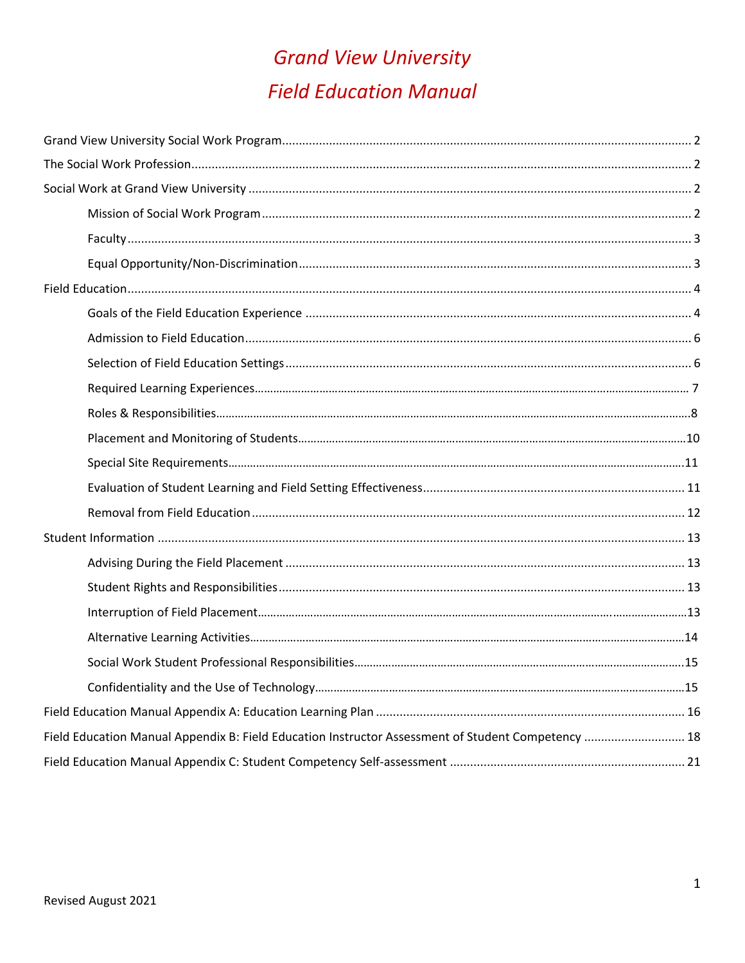# **Grand View University Field Education Manual**

| Field Education Manual Appendix B: Field Education Instructor Assessment of Student Competency  18 |  |
|----------------------------------------------------------------------------------------------------|--|
|                                                                                                    |  |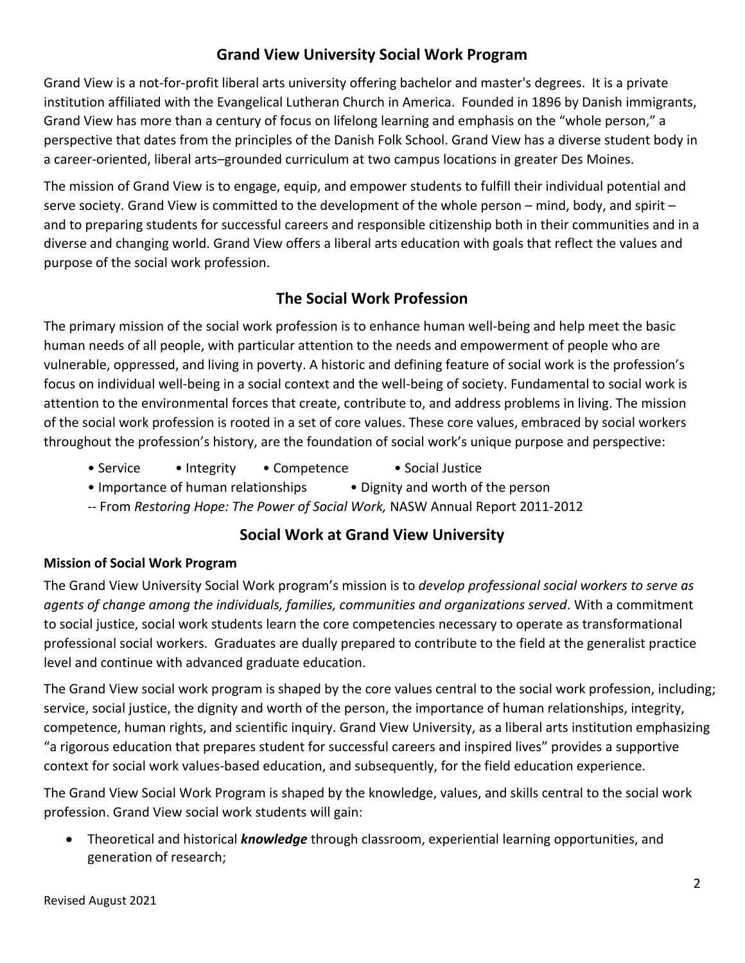# **Grand View University Social Work Program**

Grand View is a not-for-profit liberal arts university offering bachelor and master's degrees. It is a private institution affiliated with the Evangelical Lutheran Church in America. Founded in 1896 by Danish immigrants, Grand View has more than a century of focus on lifelong learning and emphasis on the "whole person," a perspective that dates from the principles of the Danish Folk School. Grand View has a diverse student body in a career-oriented, liberal arts–grounded curriculum at two campus locations in greater Des Moines.

The mission of Grand View is to engage, equip, and empower students to fulfill their individual potential and serve society. Grand View is committed to the development of the whole person – mind, body, and spirit – and to preparing students for successful careers and responsible citizenship both in their communities and in a diverse and changing world. Grand View offers a liberal arts education with goals that reflect the values and purpose of the social work profession.

# **The Social Work Profession**

The primary mission of the social work profession is to enhance human well-being and help meet the basic human needs of all people, with particular attention to the needs and empowerment of people who are vulnerable, oppressed, and living in poverty. A historic and defining feature of social work is the profession's focus on individual well-being in a social context and the well-being of society. Fundamental to social work is attention to the environmental forces that create, contribute to, and address problems in living. The mission of the social work profession is rooted in a set of core values. These core values, embraced by social workers throughout the profession's history, are the foundation of social work's unique purpose and perspective:

- Service Integrity Competence Social Justice
- Importance of human relationships Dignity and worth of the person
- -- From *Restoring Hope: The Power of Social Work,* NASW Annual Report 2011-2012

# **Social Work at Grand View University**

## **Mission of Social Work Program**

The Grand View University Social Work program's mission is to *develop professional social workers to serve as agents of change among the individuals, families, communities and organizations served*. With a commitment to social justice, social work students learn the core competencies necessary to operate as transformational professional social workers. Graduates are dually prepared to contribute to the field at the generalist practice level and continue with advanced graduate education.

The Grand View social work program is shaped by the core values central to the social work profession, including; service, social justice, the dignity and worth of the person, the importance of human relationships, integrity, competence, human rights, and scientific inquiry. Grand View University, as a liberal arts institution emphasizing "a rigorous education that prepares student for successful careers and inspired lives" provides a supportive context for social work values-based education, and subsequently, for the field education experience.

The Grand View Social Work Program is shaped by the knowledge, values, and skills central to the social work profession. Grand View social work students will gain:

• Theoretical and historical *knowledge* through classroom, experiential learning opportunities, and generation of research;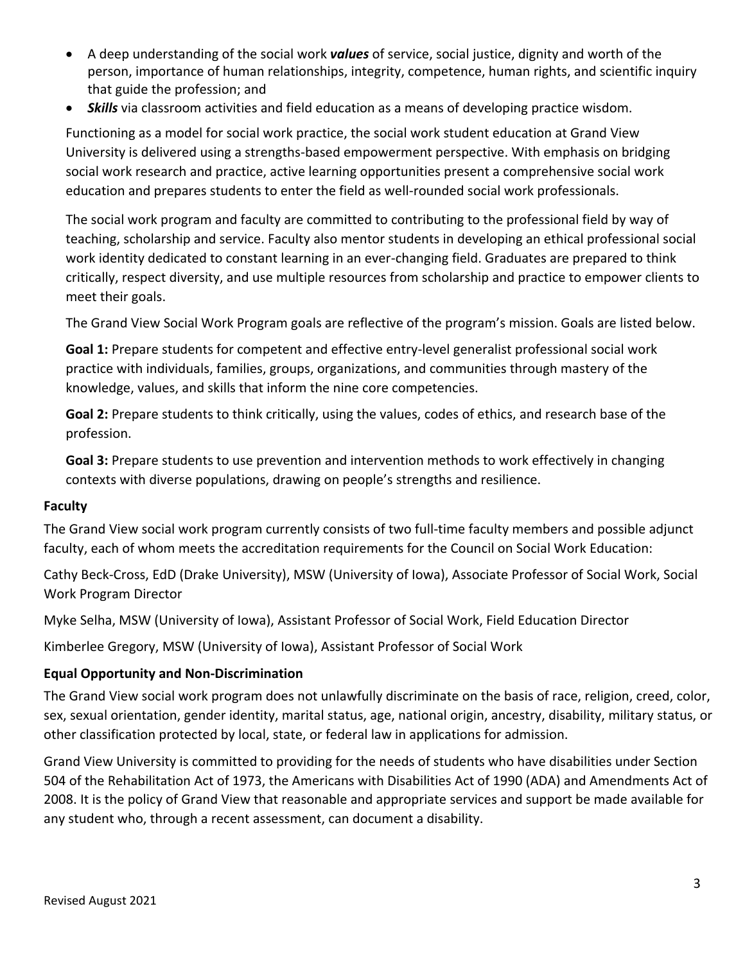- A deep understanding of the social work *values* of service, social justice, dignity and worth of the person, importance of human relationships, integrity, competence, human rights, and scientific inquiry that guide the profession; and
- *Skills* via classroom activities and field education as a means of developing practice wisdom.

Functioning as a model for social work practice, the social work student education at Grand View University is delivered using a strengths-based empowerment perspective. With emphasis on bridging social work research and practice, active learning opportunities present a comprehensive social work education and prepares students to enter the field as well-rounded social work professionals.

The social work program and faculty are committed to contributing to the professional field by way of teaching, scholarship and service. Faculty also mentor students in developing an ethical professional social work identity dedicated to constant learning in an ever-changing field. Graduates are prepared to think critically, respect diversity, and use multiple resources from scholarship and practice to empower clients to meet their goals.

The Grand View Social Work Program goals are reflective of the program's mission. Goals are listed below.

**Goal 1:** Prepare students for competent and effective entry-level generalist professional social work practice with individuals, families, groups, organizations, and communities through mastery of the knowledge, values, and skills that inform the nine core competencies.

**Goal 2:** Prepare students to think critically, using the values, codes of ethics, and research base of the profession.

**Goal 3:** Prepare students to use prevention and intervention methods to work effectively in changing contexts with diverse populations, drawing on people's strengths and resilience.

#### **Faculty**

The Grand View social work program currently consists of two full-time faculty members and possible adjunct faculty, each of whom meets the accreditation requirements for the Council on Social Work Education:

Cathy Beck-Cross, EdD (Drake University), MSW (University of Iowa), Associate Professor of Social Work, Social Work Program Director

Myke Selha, MSW (University of Iowa), Assistant Professor of Social Work, Field Education Director

Kimberlee Gregory, MSW (University of Iowa), Assistant Professor of Social Work

#### **Equal Opportunity and Non-Discrimination**

The Grand View social work program does not unlawfully discriminate on the basis of race, religion, creed, color, sex, sexual orientation, gender identity, marital status, age, national origin, ancestry, disability, military status, or other classification protected by local, state, or federal law in applications for admission.

Grand View University is committed to providing for the needs of students who have disabilities under Section 504 of the Rehabilitation Act of 1973, the Americans with Disabilities Act of 1990 (ADA) and Amendments Act of 2008. It is the policy of Grand View that reasonable and appropriate services and support be made available for any student who, through a recent assessment, can document a disability.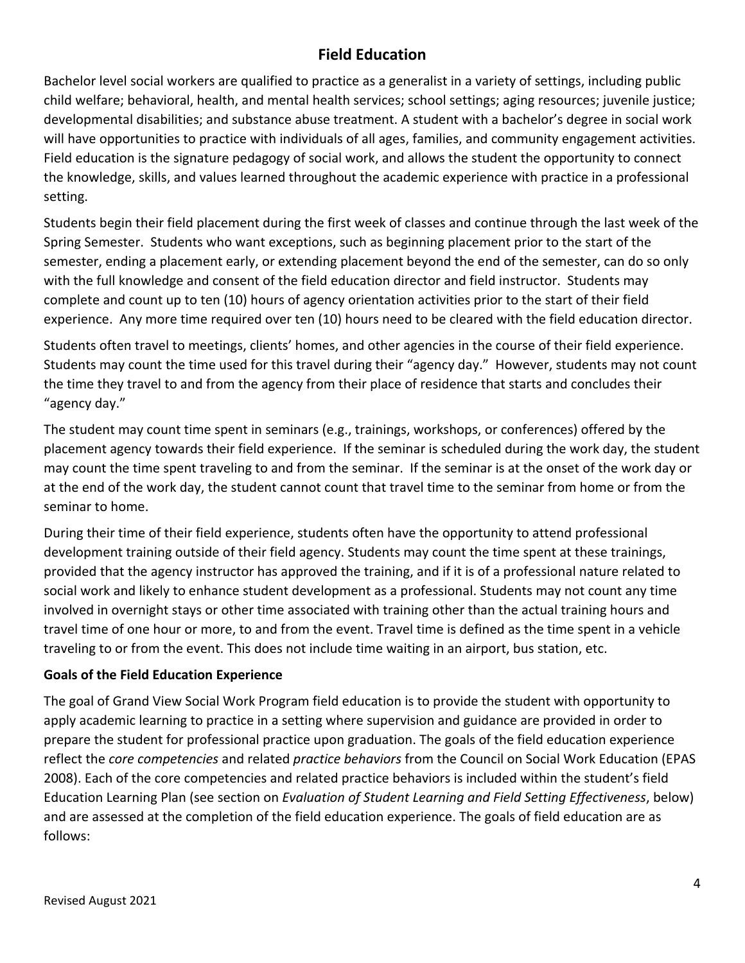# **Field Education**

Bachelor level social workers are qualified to practice as a generalist in a variety of settings, including public child welfare; behavioral, health, and mental health services; school settings; aging resources; juvenile justice; developmental disabilities; and substance abuse treatment. A student with a bachelor's degree in social work will have opportunities to practice with individuals of all ages, families, and community engagement activities. Field education is the signature pedagogy of social work, and allows the student the opportunity to connect the knowledge, skills, and values learned throughout the academic experience with practice in a professional setting.

Students begin their field placement during the first week of classes and continue through the last week of the Spring Semester. Students who want exceptions, such as beginning placement prior to the start of the semester, ending a placement early, or extending placement beyond the end of the semester, can do so only with the full knowledge and consent of the field education director and field instructor. Students may complete and count up to ten (10) hours of agency orientation activities prior to the start of their field experience. Any more time required over ten (10) hours need to be cleared with the field education director.

Students often travel to meetings, clients' homes, and other agencies in the course of their field experience. Students may count the time used for this travel during their "agency day." However, students may not count the time they travel to and from the agency from their place of residence that starts and concludes their "agency day."

The student may count time spent in seminars (e.g., trainings, workshops, or conferences) offered by the placement agency towards their field experience. If the seminar is scheduled during the work day, the student may count the time spent traveling to and from the seminar. If the seminar is at the onset of the work day or at the end of the work day, the student cannot count that travel time to the seminar from home or from the seminar to home.

During their time of their field experience, students often have the opportunity to attend professional development training outside of their field agency. Students may count the time spent at these trainings, provided that the agency instructor has approved the training, and if it is of a professional nature related to social work and likely to enhance student development as a professional. Students may not count any time involved in overnight stays or other time associated with training other than the actual training hours and travel time of one hour or more, to and from the event. Travel time is defined as the time spent in a vehicle traveling to or from the event. This does not include time waiting in an airport, bus station, etc.

## **Goals of the Field Education Experience**

The goal of Grand View Social Work Program field education is to provide the student with opportunity to apply academic learning to practice in a setting where supervision and guidance are provided in order to prepare the student for professional practice upon graduation. The goals of the field education experience reflect the *core competencies* and related *practice behaviors* from the Council on Social Work Education (EPAS 2008). Each of the core competencies and related practice behaviors is included within the student's field Education Learning Plan (see section on *Evaluation of Student Learning and Field Setting Effectiveness*, below) and are assessed at the completion of the field education experience. The goals of field education are as follows: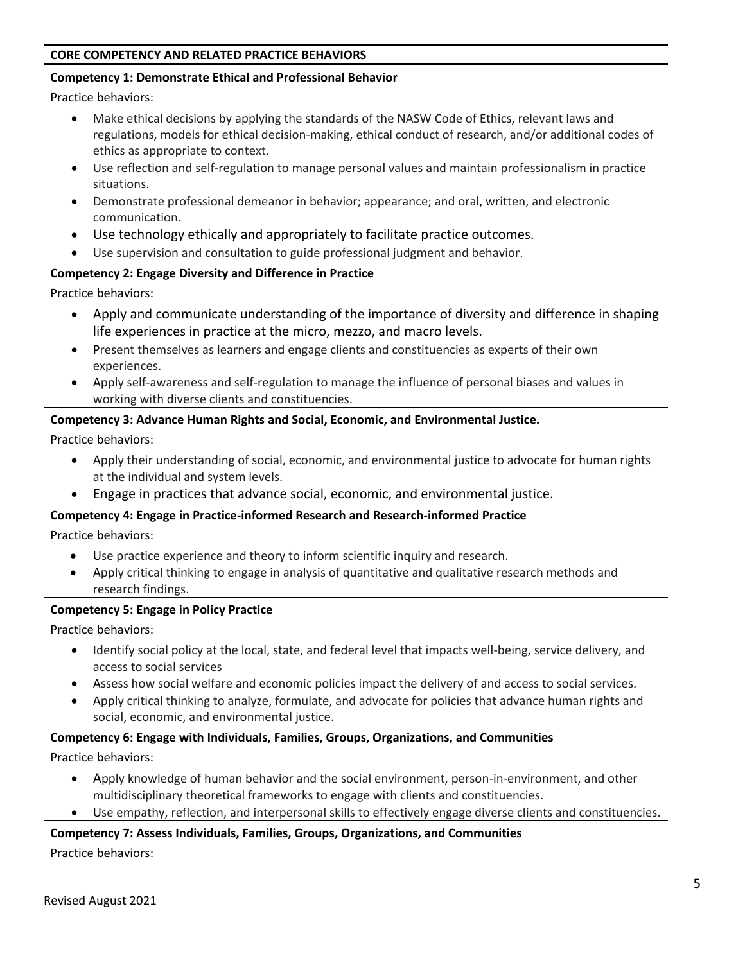#### **CORE COMPETENCY AND RELATED PRACTICE BEHAVIORS**

#### **Competency 1: Demonstrate Ethical and Professional Behavior**

Practice behaviors:

- Make ethical decisions by applying the standards of the NASW Code of Ethics, relevant laws and regulations, models for ethical decision-making, ethical conduct of research, and/or additional codes of ethics as appropriate to context.
- Use reflection and self-regulation to manage personal values and maintain professionalism in practice situations.
- Demonstrate professional demeanor in behavior; appearance; and oral, written, and electronic communication.
- Use technology ethically and appropriately to facilitate practice outcomes.
- Use supervision and consultation to guide professional judgment and behavior.

#### **Competency 2: Engage Diversity and Difference in Practice**

Practice behaviors:

- Apply and communicate understanding of the importance of diversity and difference in shaping life experiences in practice at the micro, mezzo, and macro levels.
- Present themselves as learners and engage clients and constituencies as experts of their own experiences.
- Apply self-awareness and self-regulation to manage the influence of personal biases and values in working with diverse clients and constituencies.

#### **Competency 3: Advance Human Rights and Social, Economic, and Environmental Justice.**

Practice behaviors:

- Apply their understanding of social, economic, and environmental justice to advocate for human rights at the individual and system levels.
- Engage in practices that advance social, economic, and environmental justice.

#### **Competency 4: Engage in Practice-informed Research and Research-informed Practice**

Practice behaviors:

- Use practice experience and theory to inform scientific inquiry and research.
- Apply critical thinking to engage in analysis of quantitative and qualitative research methods and research findings.

#### **Competency 5: Engage in Policy Practice**

Practice behaviors:

- Identify social policy at the local, state, and federal level that impacts well-being, service delivery, and access to social services
- Assess how social welfare and economic policies impact the delivery of and access to social services.
- Apply critical thinking to analyze, formulate, and advocate for policies that advance human rights and social, economic, and environmental justice.

#### **Competency 6: Engage with Individuals, Families, Groups, Organizations, and Communities**

Practice behaviors:

- Apply knowledge of human behavior and the social environment, person-in-environment, and other multidisciplinary theoretical frameworks to engage with clients and constituencies.
- Use empathy, reflection, and interpersonal skills to effectively engage diverse clients and constituencies.

#### **Competency 7: Assess Individuals, Families, Groups, Organizations, and Communities**

Practice behaviors: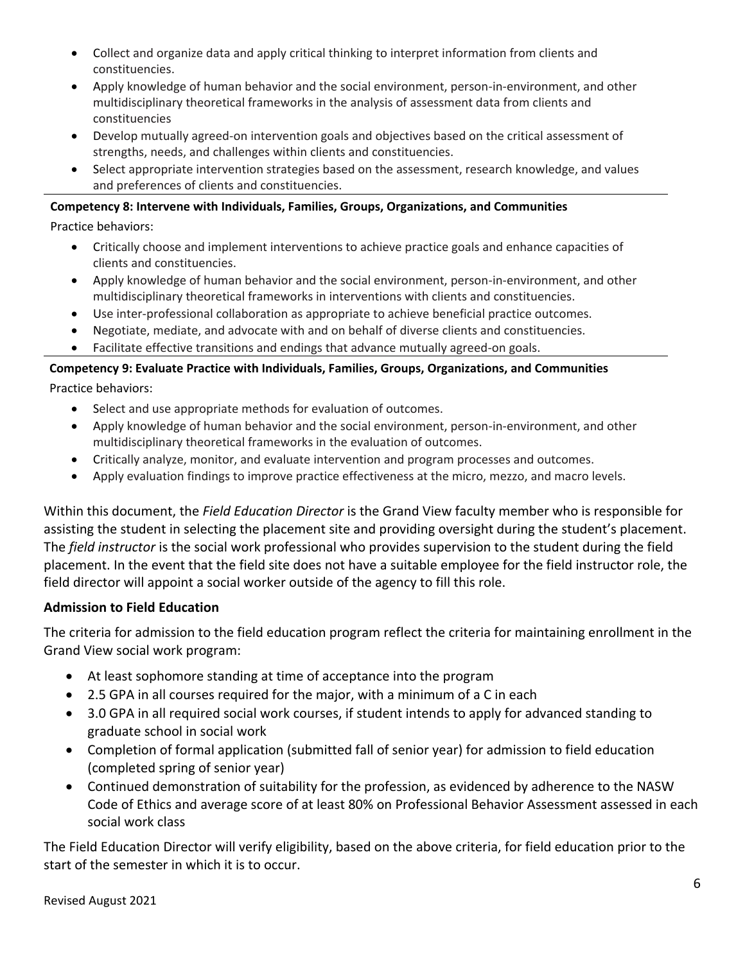- Collect and organize data and apply critical thinking to interpret information from clients and constituencies.
- Apply knowledge of human behavior and the social environment, person-in-environment, and other multidisciplinary theoretical frameworks in the analysis of assessment data from clients and constituencies
- Develop mutually agreed-on intervention goals and objectives based on the critical assessment of strengths, needs, and challenges within clients and constituencies.
- Select appropriate intervention strategies based on the assessment, research knowledge, and values and preferences of clients and constituencies.

#### **Competency 8: Intervene with Individuals, Families, Groups, Organizations, and Communities**

Practice behaviors:

- Critically choose and implement interventions to achieve practice goals and enhance capacities of clients and constituencies.
- Apply knowledge of human behavior and the social environment, person-in-environment, and other multidisciplinary theoretical frameworks in interventions with clients and constituencies.
- Use inter-professional collaboration as appropriate to achieve beneficial practice outcomes.
- Negotiate, mediate, and advocate with and on behalf of diverse clients and constituencies.
- Facilitate effective transitions and endings that advance mutually agreed-on goals.

# **Competency 9: Evaluate Practice with Individuals, Families, Groups, Organizations, and Communities**

Practice behaviors:

- Select and use appropriate methods for evaluation of outcomes.
- Apply knowledge of human behavior and the social environment, person-in-environment, and other multidisciplinary theoretical frameworks in the evaluation of outcomes.
- Critically analyze, monitor, and evaluate intervention and program processes and outcomes.
- Apply evaluation findings to improve practice effectiveness at the micro, mezzo, and macro levels.

Within this document, the *Field Education Director* is the Grand View faculty member who is responsible for assisting the student in selecting the placement site and providing oversight during the student's placement. The *field instructor* is the social work professional who provides supervision to the student during the field placement. In the event that the field site does not have a suitable employee for the field instructor role, the field director will appoint a social worker outside of the agency to fill this role.

## **Admission to Field Education**

The criteria for admission to the field education program reflect the criteria for maintaining enrollment in the Grand View social work program:

- At least sophomore standing at time of acceptance into the program
- 2.5 GPA in all courses required for the major, with a minimum of a C in each
- 3.0 GPA in all required social work courses, if student intends to apply for advanced standing to graduate school in social work
- Completion of formal application (submitted fall of senior year) for admission to field education (completed spring of senior year)
- Continued demonstration of suitability for the profession, as evidenced by adherence to the NASW Code of Ethics and average score of at least 80% on Professional Behavior Assessment assessed in each social work class

The Field Education Director will verify eligibility, based on the above criteria, for field education prior to the start of the semester in which it is to occur.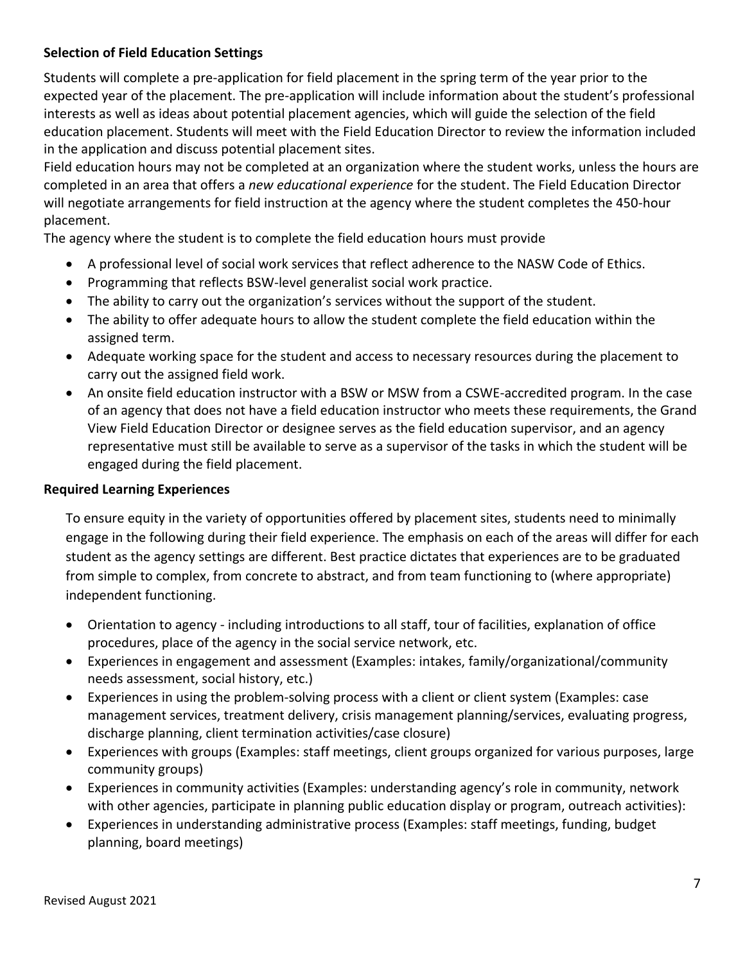## **Selection of Field Education Settings**

Students will complete a pre-application for field placement in the spring term of the year prior to the expected year of the placement. The pre-application will include information about the student's professional interests as well as ideas about potential placement agencies, which will guide the selection of the field education placement. Students will meet with the Field Education Director to review the information included in the application and discuss potential placement sites.

Field education hours may not be completed at an organization where the student works, unless the hours are completed in an area that offers a *new educational experience* for the student. The Field Education Director will negotiate arrangements for field instruction at the agency where the student completes the 450-hour placement.

The agency where the student is to complete the field education hours must provide

- A professional level of social work services that reflect adherence to the NASW Code of Ethics.
- Programming that reflects BSW-level generalist social work practice.
- The ability to carry out the organization's services without the support of the student.
- The ability to offer adequate hours to allow the student complete the field education within the assigned term.
- Adequate working space for the student and access to necessary resources during the placement to carry out the assigned field work.
- An onsite field education instructor with a BSW or MSW from a CSWE-accredited program. In the case of an agency that does not have a field education instructor who meets these requirements, the Grand View Field Education Director or designee serves as the field education supervisor, and an agency representative must still be available to serve as a supervisor of the tasks in which the student will be engaged during the field placement.

#### **Required Learning Experiences**

To ensure equity in the variety of opportunities offered by placement sites, students need to minimally engage in the following during their field experience. The emphasis on each of the areas will differ for each student as the agency settings are different. Best practice dictates that experiences are to be graduated from simple to complex, from concrete to abstract, and from team functioning to (where appropriate) independent functioning.

- Orientation to agency including introductions to all staff, tour of facilities, explanation of office procedures, place of the agency in the social service network, etc.
- Experiences in engagement and assessment (Examples: intakes, family/organizational/community needs assessment, social history, etc.)
- Experiences in using the problem-solving process with a client or client system (Examples: case management services, treatment delivery, crisis management planning/services, evaluating progress, discharge planning, client termination activities/case closure)
- Experiences with groups (Examples: staff meetings, client groups organized for various purposes, large community groups)
- Experiences in community activities (Examples: understanding agency's role in community, network with other agencies, participate in planning public education display or program, outreach activities):
- Experiences in understanding administrative process (Examples: staff meetings, funding, budget planning, board meetings)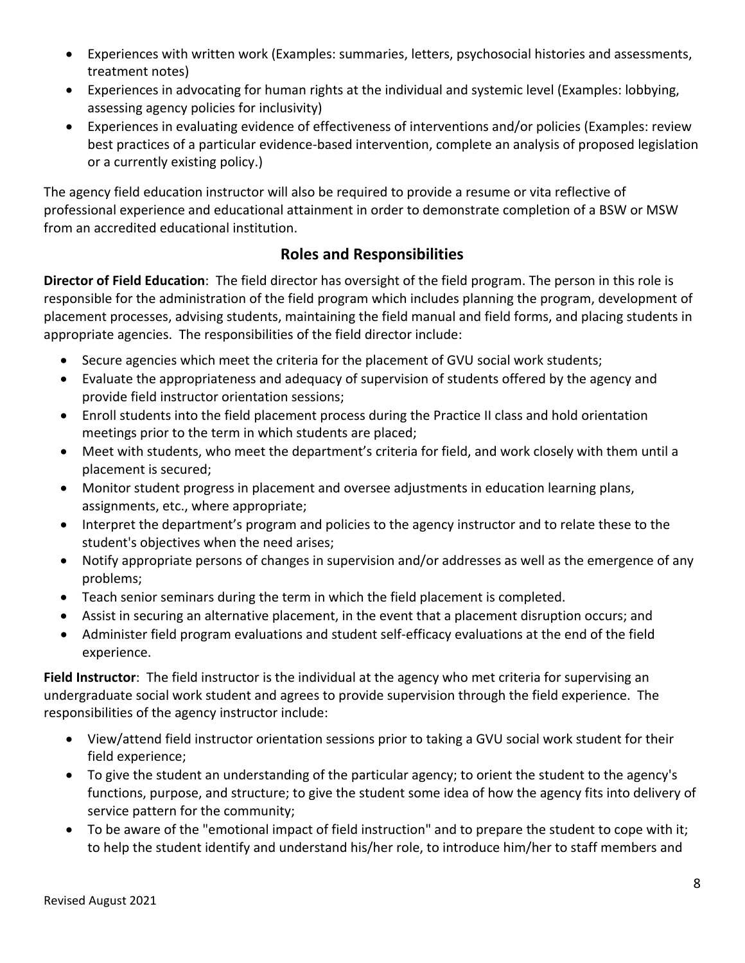- Experiences with written work (Examples: summaries, letters, psychosocial histories and assessments, treatment notes)
- Experiences in advocating for human rights at the individual and systemic level (Examples: lobbying, assessing agency policies for inclusivity)
- Experiences in evaluating evidence of effectiveness of interventions and/or policies (Examples: review best practices of a particular evidence-based intervention, complete an analysis of proposed legislation or a currently existing policy.)

The agency field education instructor will also be required to provide a resume or vita reflective of professional experience and educational attainment in order to demonstrate completion of a BSW or MSW from an accredited educational institution.

# **Roles and Responsibilities**

**Director of Field Education**: The field director has oversight of the field program. The person in this role is responsible for the administration of the field program which includes planning the program, development of placement processes, advising students, maintaining the field manual and field forms, and placing students in appropriate agencies. The responsibilities of the field director include:

- Secure agencies which meet the criteria for the placement of GVU social work students;
- Evaluate the appropriateness and adequacy of supervision of students offered by the agency and provide field instructor orientation sessions;
- Enroll students into the field placement process during the Practice II class and hold orientation meetings prior to the term in which students are placed;
- Meet with students, who meet the department's criteria for field, and work closely with them until a placement is secured;
- Monitor student progress in placement and oversee adjustments in education learning plans, assignments, etc., where appropriate;
- Interpret the department's program and policies to the agency instructor and to relate these to the student's objectives when the need arises;
- Notify appropriate persons of changes in supervision and/or addresses as well as the emergence of any problems;
- Teach senior seminars during the term in which the field placement is completed.
- Assist in securing an alternative placement, in the event that a placement disruption occurs; and
- Administer field program evaluations and student self-efficacy evaluations at the end of the field experience.

**Field Instructor**: The field instructor is the individual at the agency who met criteria for supervising an undergraduate social work student and agrees to provide supervision through the field experience. The responsibilities of the agency instructor include:

- View/attend field instructor orientation sessions prior to taking a GVU social work student for their field experience;
- To give the student an understanding of the particular agency; to orient the student to the agency's functions, purpose, and structure; to give the student some idea of how the agency fits into delivery of service pattern for the community;
- To be aware of the "emotional impact of field instruction" and to prepare the student to cope with it; to help the student identify and understand his/her role, to introduce him/her to staff members and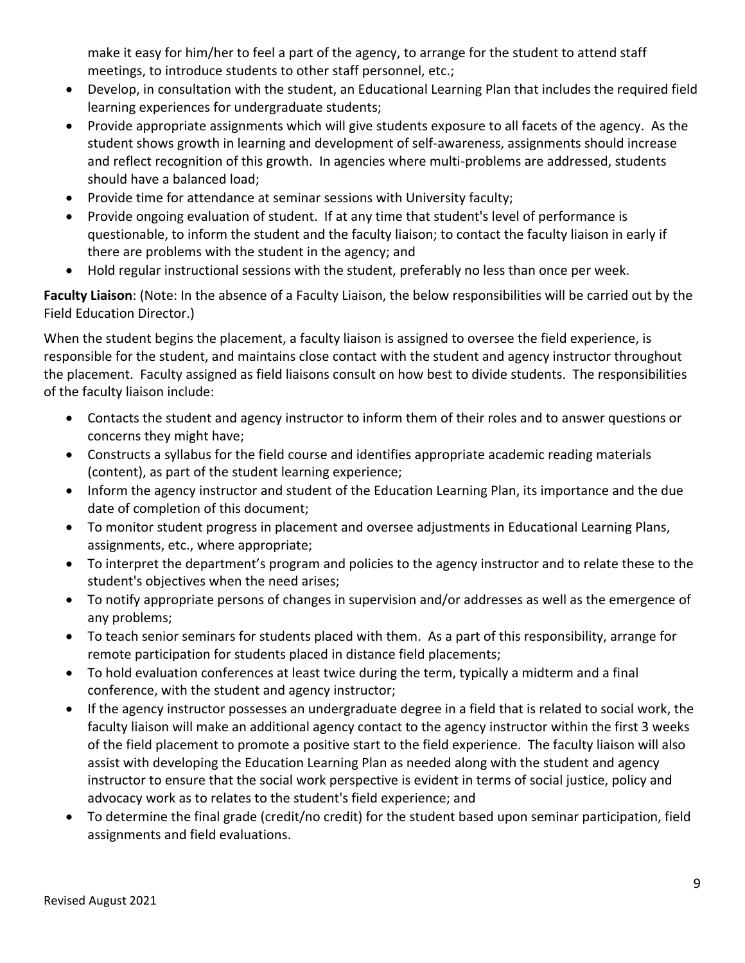make it easy for him/her to feel a part of the agency, to arrange for the student to attend staff meetings, to introduce students to other staff personnel, etc.;

- Develop, in consultation with the student, an Educational Learning Plan that includes the required field learning experiences for undergraduate students;
- Provide appropriate assignments which will give students exposure to all facets of the agency. As the student shows growth in learning and development of self-awareness, assignments should increase and reflect recognition of this growth. In agencies where multi-problems are addressed, students should have a balanced load;
- Provide time for attendance at seminar sessions with University faculty;
- Provide ongoing evaluation of student. If at any time that student's level of performance is questionable, to inform the student and the faculty liaison; to contact the faculty liaison in early if there are problems with the student in the agency; and
- Hold regular instructional sessions with the student, preferably no less than once per week.

**Faculty Liaison**: (Note: In the absence of a Faculty Liaison, the below responsibilities will be carried out by the Field Education Director.)

When the student begins the placement, a faculty liaison is assigned to oversee the field experience, is responsible for the student, and maintains close contact with the student and agency instructor throughout the placement. Faculty assigned as field liaisons consult on how best to divide students. The responsibilities of the faculty liaison include:

- Contacts the student and agency instructor to inform them of their roles and to answer questions or concerns they might have;
- Constructs a syllabus for the field course and identifies appropriate academic reading materials (content), as part of the student learning experience;
- Inform the agency instructor and student of the Education Learning Plan, its importance and the due date of completion of this document;
- To monitor student progress in placement and oversee adjustments in Educational Learning Plans, assignments, etc., where appropriate;
- To interpret the department's program and policies to the agency instructor and to relate these to the student's objectives when the need arises;
- To notify appropriate persons of changes in supervision and/or addresses as well as the emergence of any problems;
- To teach senior seminars for students placed with them. As a part of this responsibility, arrange for remote participation for students placed in distance field placements;
- To hold evaluation conferences at least twice during the term, typically a midterm and a final conference, with the student and agency instructor;
- If the agency instructor possesses an undergraduate degree in a field that is related to social work, the faculty liaison will make an additional agency contact to the agency instructor within the first 3 weeks of the field placement to promote a positive start to the field experience. The faculty liaison will also assist with developing the Education Learning Plan as needed along with the student and agency instructor to ensure that the social work perspective is evident in terms of social justice, policy and advocacy work as to relates to the student's field experience; and
- To determine the final grade (credit/no credit) for the student based upon seminar participation, field assignments and field evaluations.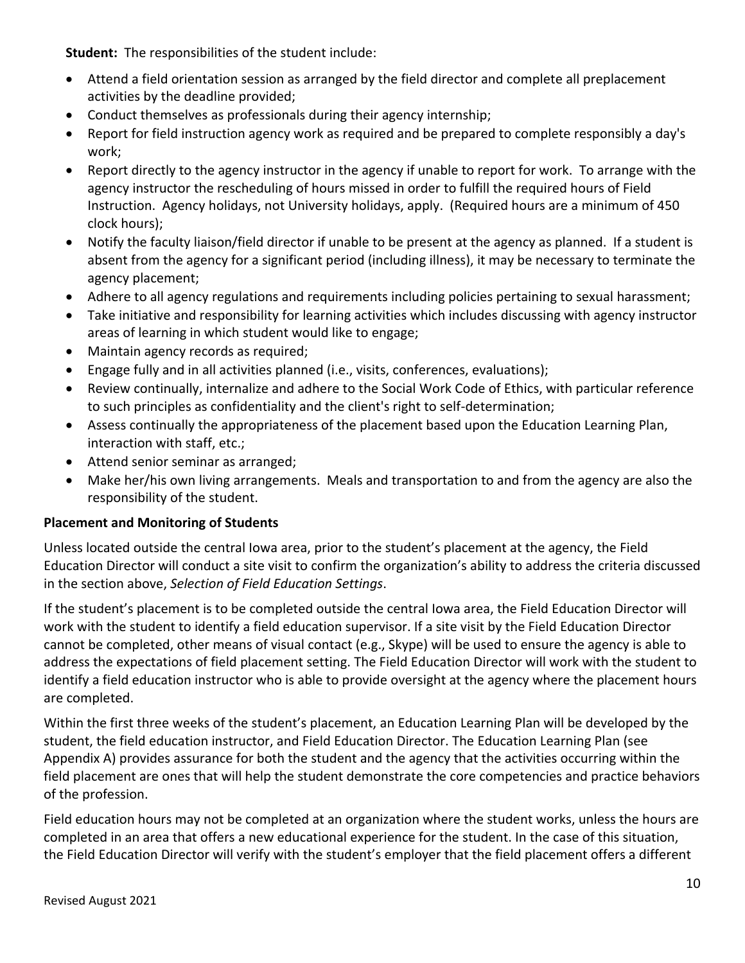**Student:** The responsibilities of the student include:

- Attend a field orientation session as arranged by the field director and complete all preplacement activities by the deadline provided;
- Conduct themselves as professionals during their agency internship;
- Report for field instruction agency work as required and be prepared to complete responsibly a day's work;
- Report directly to the agency instructor in the agency if unable to report for work. To arrange with the agency instructor the rescheduling of hours missed in order to fulfill the required hours of Field Instruction. Agency holidays, not University holidays, apply. (Required hours are a minimum of 450 clock hours);
- Notify the faculty liaison/field director if unable to be present at the agency as planned. If a student is absent from the agency for a significant period (including illness), it may be necessary to terminate the agency placement;
- Adhere to all agency regulations and requirements including policies pertaining to sexual harassment;
- Take initiative and responsibility for learning activities which includes discussing with agency instructor areas of learning in which student would like to engage;
- Maintain agency records as required;
- Engage fully and in all activities planned (i.e., visits, conferences, evaluations);
- Review continually, internalize and adhere to the Social Work Code of Ethics, with particular reference to such principles as confidentiality and the client's right to self-determination;
- Assess continually the appropriateness of the placement based upon the Education Learning Plan, interaction with staff, etc.;
- Attend senior seminar as arranged;
- Make her/his own living arrangements. Meals and transportation to and from the agency are also the responsibility of the student.

## **Placement and Monitoring of Students**

Unless located outside the central Iowa area, prior to the student's placement at the agency, the Field Education Director will conduct a site visit to confirm the organization's ability to address the criteria discussed in the section above, *Selection of Field Education Settings*.

If the student's placement is to be completed outside the central Iowa area, the Field Education Director will work with the student to identify a field education supervisor. If a site visit by the Field Education Director cannot be completed, other means of visual contact (e.g., Skype) will be used to ensure the agency is able to address the expectations of field placement setting. The Field Education Director will work with the student to identify a field education instructor who is able to provide oversight at the agency where the placement hours are completed.

Within the first three weeks of the student's placement, an Education Learning Plan will be developed by the student, the field education instructor, and Field Education Director. The Education Learning Plan (see Appendix A) provides assurance for both the student and the agency that the activities occurring within the field placement are ones that will help the student demonstrate the core competencies and practice behaviors of the profession.

Field education hours may not be completed at an organization where the student works, unless the hours are completed in an area that offers a new educational experience for the student. In the case of this situation, the Field Education Director will verify with the student's employer that the field placement offers a different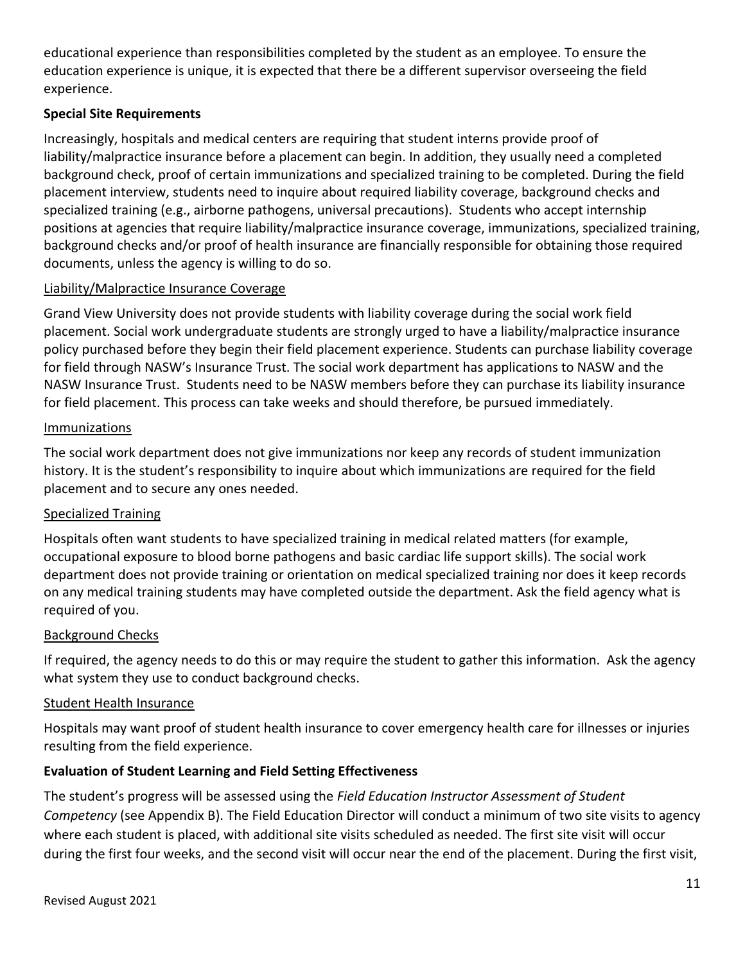educational experience than responsibilities completed by the student as an employee. To ensure the education experience is unique, it is expected that there be a different supervisor overseeing the field experience.

## **Special Site Requirements**

Increasingly, hospitals and medical centers are requiring that student interns provide proof of liability/malpractice insurance before a placement can begin. In addition, they usually need a completed background check, proof of certain immunizations and specialized training to be completed. During the field placement interview, students need to inquire about required liability coverage, background checks and specialized training (e.g., airborne pathogens, universal precautions). Students who accept internship positions at agencies that require liability/malpractice insurance coverage, immunizations, specialized training, background checks and/or proof of health insurance are financially responsible for obtaining those required documents, unless the agency is willing to do so.

## Liability/Malpractice Insurance Coverage

Grand View University does not provide students with liability coverage during the social work field placement. Social work undergraduate students are strongly urged to have a liability/malpractice insurance policy purchased before they begin their field placement experience. Students can purchase liability coverage for field through NASW's Insurance Trust. The social work department has applications to NASW and the NASW Insurance Trust. Students need to be NASW members before they can purchase its liability insurance for field placement. This process can take weeks and should therefore, be pursued immediately.

## Immunizations

The social work department does not give immunizations nor keep any records of student immunization history. It is the student's responsibility to inquire about which immunizations are required for the field placement and to secure any ones needed.

## Specialized Training

Hospitals often want students to have specialized training in medical related matters (for example, occupational exposure to blood borne pathogens and basic cardiac life support skills). The social work department does not provide training or orientation on medical specialized training nor does it keep records on any medical training students may have completed outside the department. Ask the field agency what is required of you.

## Background Checks

If required, the agency needs to do this or may require the student to gather this information. Ask the agency what system they use to conduct background checks.

#### Student Health Insurance

Hospitals may want proof of student health insurance to cover emergency health care for illnesses or injuries resulting from the field experience.

## **Evaluation of Student Learning and Field Setting Effectiveness**

The student's progress will be assessed using the *Field Education Instructor Assessment of Student Competency* (see Appendix B). The Field Education Director will conduct a minimum of two site visits to agency where each student is placed, with additional site visits scheduled as needed. The first site visit will occur during the first four weeks, and the second visit will occur near the end of the placement. During the first visit,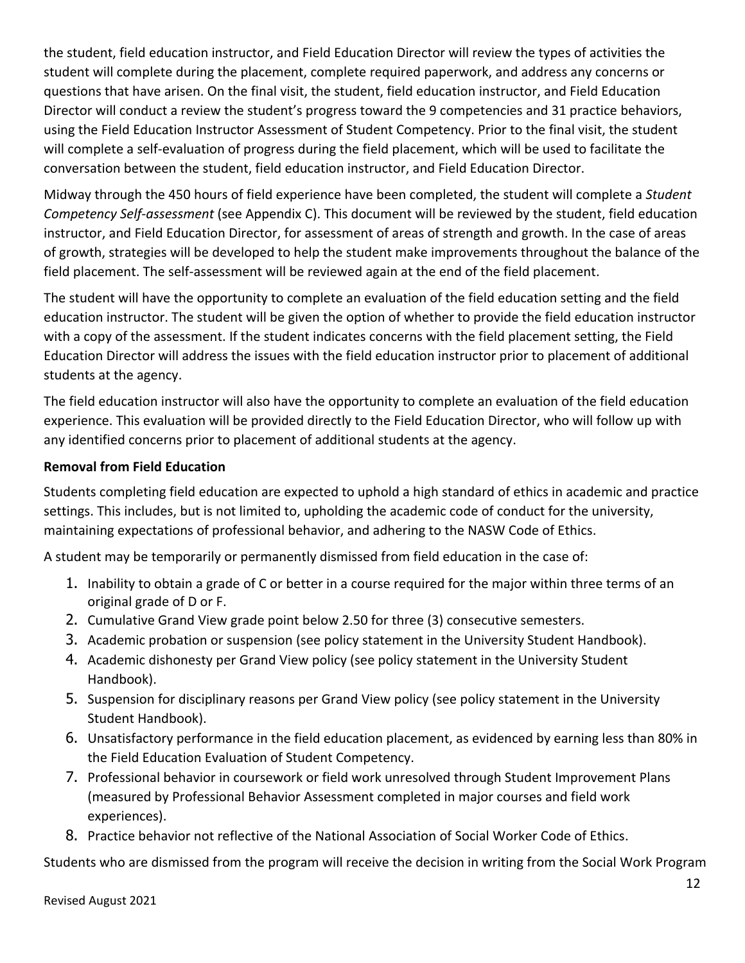the student, field education instructor, and Field Education Director will review the types of activities the student will complete during the placement, complete required paperwork, and address any concerns or questions that have arisen. On the final visit, the student, field education instructor, and Field Education Director will conduct a review the student's progress toward the 9 competencies and 31 practice behaviors, using the Field Education Instructor Assessment of Student Competency. Prior to the final visit, the student will complete a self-evaluation of progress during the field placement, which will be used to facilitate the conversation between the student, field education instructor, and Field Education Director.

Midway through the 450 hours of field experience have been completed, the student will complete a *Student Competency Self-assessment* (see Appendix C). This document will be reviewed by the student, field education instructor, and Field Education Director, for assessment of areas of strength and growth. In the case of areas of growth, strategies will be developed to help the student make improvements throughout the balance of the field placement. The self-assessment will be reviewed again at the end of the field placement.

The student will have the opportunity to complete an evaluation of the field education setting and the field education instructor. The student will be given the option of whether to provide the field education instructor with a copy of the assessment. If the student indicates concerns with the field placement setting, the Field Education Director will address the issues with the field education instructor prior to placement of additional students at the agency.

The field education instructor will also have the opportunity to complete an evaluation of the field education experience. This evaluation will be provided directly to the Field Education Director, who will follow up with any identified concerns prior to placement of additional students at the agency.

## **Removal from Field Education**

Students completing field education are expected to uphold a high standard of ethics in academic and practice settings. This includes, but is not limited to, upholding the academic code of conduct for the university, maintaining expectations of professional behavior, and adhering to the NASW Code of Ethics.

A student may be temporarily or permanently dismissed from field education in the case of:

- 1. Inability to obtain a grade of C or better in a course required for the major within three terms of an original grade of D or F.
- 2. Cumulative Grand View grade point below 2.50 for three (3) consecutive semesters.
- 3. Academic probation or suspension (see policy statement in the University Student Handbook).
- 4. Academic dishonesty per Grand View policy (see policy statement in the University Student Handbook).
- 5. Suspension for disciplinary reasons per Grand View policy (see policy statement in the University Student Handbook).
- 6. Unsatisfactory performance in the field education placement, as evidenced by earning less than 80% in the Field Education Evaluation of Student Competency.
- 7. Professional behavior in coursework or field work unresolved through Student Improvement Plans (measured by Professional Behavior Assessment completed in major courses and field work experiences).
- 8. Practice behavior not reflective of the National Association of Social Worker Code of Ethics.

Students who are dismissed from the program will receive the decision in writing from the Social Work Program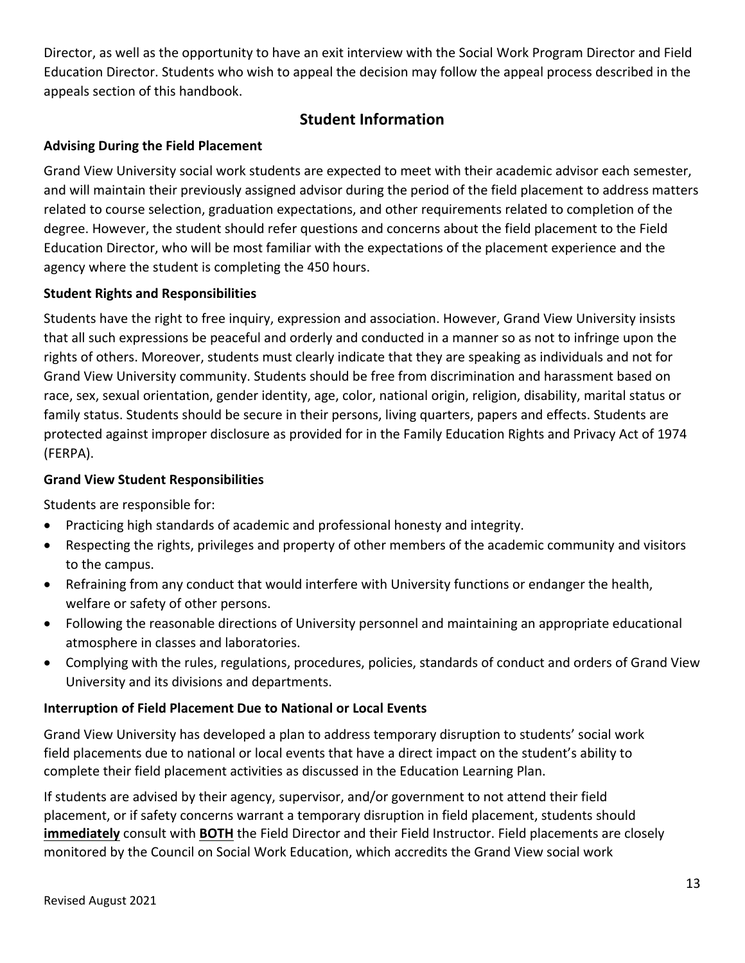Director, as well as the opportunity to have an exit interview with the Social Work Program Director and Field Education Director. Students who wish to appeal the decision may follow the appeal process described in the appeals section of this handbook.

## **Student Information**

## **Advising During the Field Placement**

Grand View University social work students are expected to meet with their academic advisor each semester, and will maintain their previously assigned advisor during the period of the field placement to address matters related to course selection, graduation expectations, and other requirements related to completion of the degree. However, the student should refer questions and concerns about the field placement to the Field Education Director, who will be most familiar with the expectations of the placement experience and the agency where the student is completing the 450 hours.

## **Student Rights and Responsibilities**

Students have the right to free inquiry, expression and association. However, Grand View University insists that all such expressions be peaceful and orderly and conducted in a manner so as not to infringe upon the rights of others. Moreover, students must clearly indicate that they are speaking as individuals and not for Grand View University community. Students should be free from discrimination and harassment based on race, sex, sexual orientation, gender identity, age, color, national origin, religion, disability, marital status or family status. Students should be secure in their persons, living quarters, papers and effects. Students are protected against improper disclosure as provided for in the Family Education Rights and Privacy Act of 1974 (FERPA).

## **Grand View Student Responsibilities**

Students are responsible for:

- Practicing high standards of academic and professional honesty and integrity.
- Respecting the rights, privileges and property of other members of the academic community and visitors to the campus.
- Refraining from any conduct that would interfere with University functions or endanger the health, welfare or safety of other persons.
- Following the reasonable directions of University personnel and maintaining an appropriate educational atmosphere in classes and laboratories.
- Complying with the rules, regulations, procedures, policies, standards of conduct and orders of Grand View University and its divisions and departments.

## **Interruption of Field Placement Due to National or Local Events**

Grand View University has developed a plan to address temporary disruption to students' social work field placements due to national or local events that have a direct impact on the student's ability to complete their field placement activities as discussed in the Education Learning Plan.

If students are advised by their agency, supervisor, and/or government to not attend their field placement, or if safety concerns warrant a temporary disruption in field placement, students should **immediately** consult with **BOTH** the Field Director and their Field Instructor. Field placements are closely monitored by the Council on Social Work Education, which accredits the Grand View social work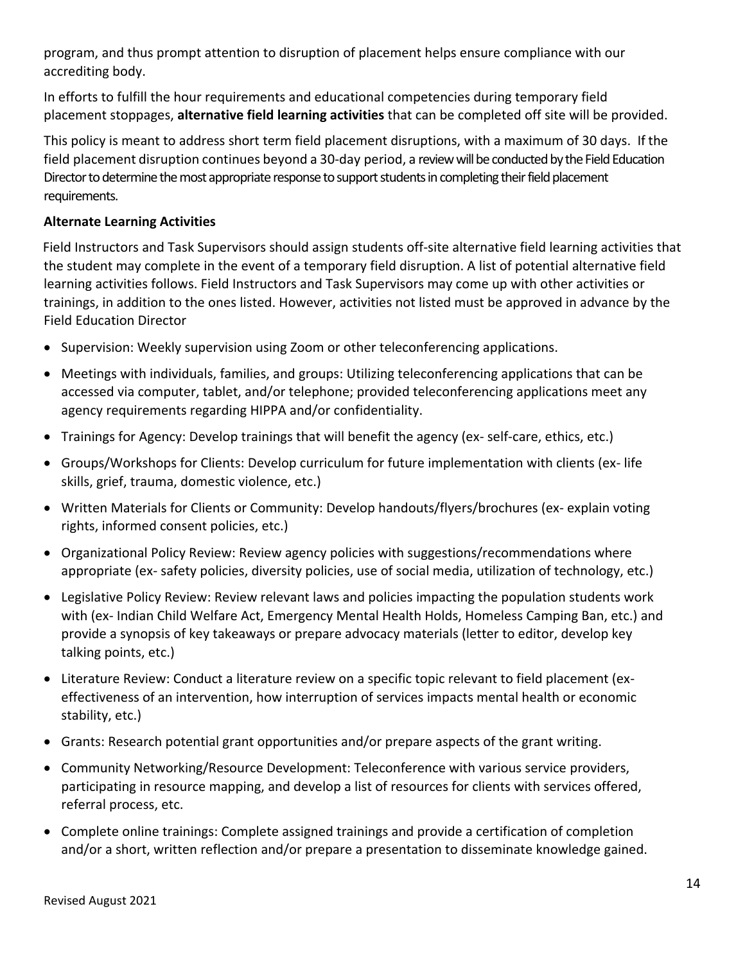program, and thus prompt attention to disruption of placement helps ensure compliance with our accrediting body.

In efforts to fulfill the hour requirements and educational competencies during temporary field placement stoppages, **alternative field learning activities** that can be completed off site will be provided.

This policy is meant to address short term field placement disruptions, with a maximum of 30 days. If the field placement disruption continues beyond a 30-day period, a review will be conducted by the Field Education Director to determine the most appropriate response to support students in completing their field placement requirements.

## **Alternate Learning Activities**

Field Instructors and Task Supervisors should assign students off-site alternative field learning activities that the student may complete in the event of a temporary field disruption. A list of potential alternative field learning activities follows. Field Instructors and Task Supervisors may come up with other activities or trainings, in addition to the ones listed. However, activities not listed must be approved in advance by the Field Education Director

- Supervision: Weekly supervision using Zoom or other teleconferencing applications.
- Meetings with individuals, families, and groups: Utilizing teleconferencing applications that can be accessed via computer, tablet, and/or telephone; provided teleconferencing applications meet any agency requirements regarding HIPPA and/or confidentiality.
- Trainings for Agency: Develop trainings that will benefit the agency (ex- self-care, ethics, etc.)
- Groups/Workshops for Clients: Develop curriculum for future implementation with clients (ex- life skills, grief, trauma, domestic violence, etc.)
- Written Materials for Clients or Community: Develop handouts/flyers/brochures (ex- explain voting rights, informed consent policies, etc.)
- Organizational Policy Review: Review agency policies with suggestions/recommendations where appropriate (ex- safety policies, diversity policies, use of social media, utilization of technology, etc.)
- Legislative Policy Review: Review relevant laws and policies impacting the population students work with (ex- Indian Child Welfare Act, Emergency Mental Health Holds, Homeless Camping Ban, etc.) and provide a synopsis of key takeaways or prepare advocacy materials (letter to editor, develop key talking points, etc.)
- Literature Review: Conduct a literature review on a specific topic relevant to field placement (exeffectiveness of an intervention, how interruption of services impacts mental health or economic stability, etc.)
- Grants: Research potential grant opportunities and/or prepare aspects of the grant writing.
- Community Networking/Resource Development: Teleconference with various service providers, participating in resource mapping, and develop a list of resources for clients with services offered, referral process, etc.
- Complete online trainings: Complete assigned trainings and provide a certification of completion and/or a short, written reflection and/or prepare a presentation to disseminate knowledge gained.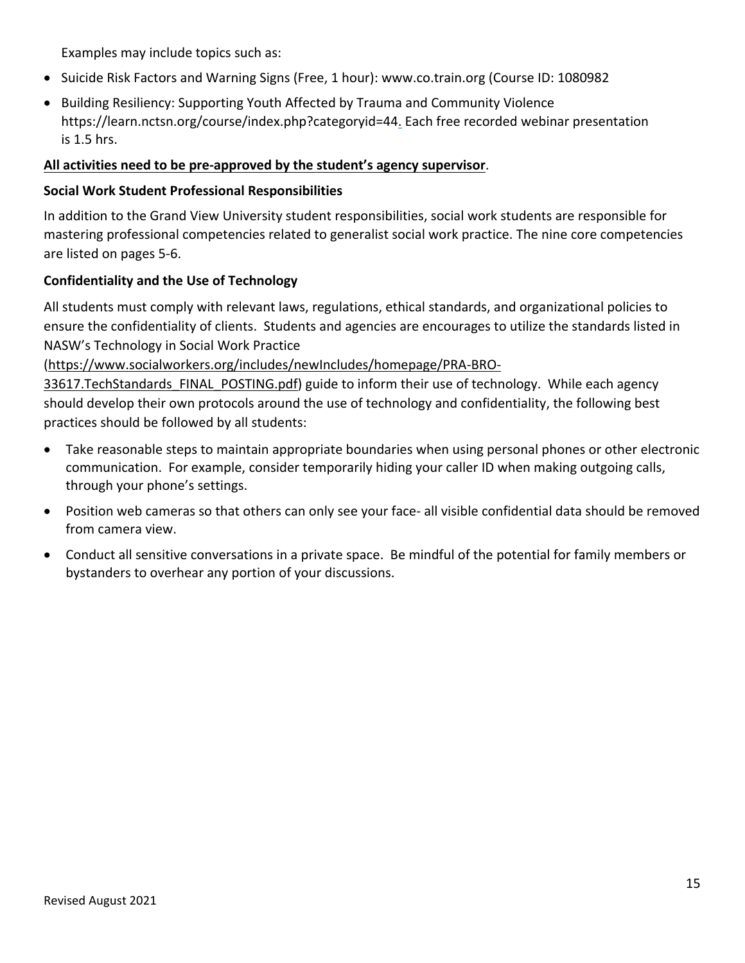Examples may include topics such as:

- Suicide Risk Factors and Warning Signs (Free, 1 hour): www.co.train.org (Course ID: 1080982
- Building Resiliency: Supporting Youth Affected by Trauma and Community Violence https://learn.nctsn.org/course/index.php?categoryid=44. Each free recorded webinar presentation is 1.5 hrs.

## **All activities need to be pre-approved by the student's agency supervisor**.

#### **Social Work Student Professional Responsibilities**

In addition to the Grand View University student responsibilities, social work students are responsible for mastering professional competencies related to generalist social work practice. The nine core competencies are listed on pages 5-6.

## **Confidentiality and the Use of Technology**

All students must comply with relevant laws, regulations, ethical standards, and organizational policies to ensure the confidentiality of clients. Students and agencies are encourages to utilize the standards listed in NASW's Technology in Social Work Practice

[\(https://www.socialworkers.org/includes/newIncludes/homepage/PRA-BRO-](https://www.socialworkers.org/includes/newIncludes/homepage/PRA-BRO-33617.TechStandards_FINAL_POSTING.pdf)

33617. TechStandards FINAL POSTING.pdf) guide to inform their use of technology. While each agency should develop their own protocols around the use of technology and confidentiality, the following best practices should be followed by all students:

- Take reasonable steps to maintain appropriate boundaries when using personal phones or other electronic communication. For example, consider temporarily hiding your caller ID when making outgoing calls, through your phone's settings.
- Position web cameras so that others can only see your face- all visible confidential data should be removed from camera view.
- Conduct all sensitive conversations in a private space. Be mindful of the potential for family members or bystanders to overhear any portion of your discussions.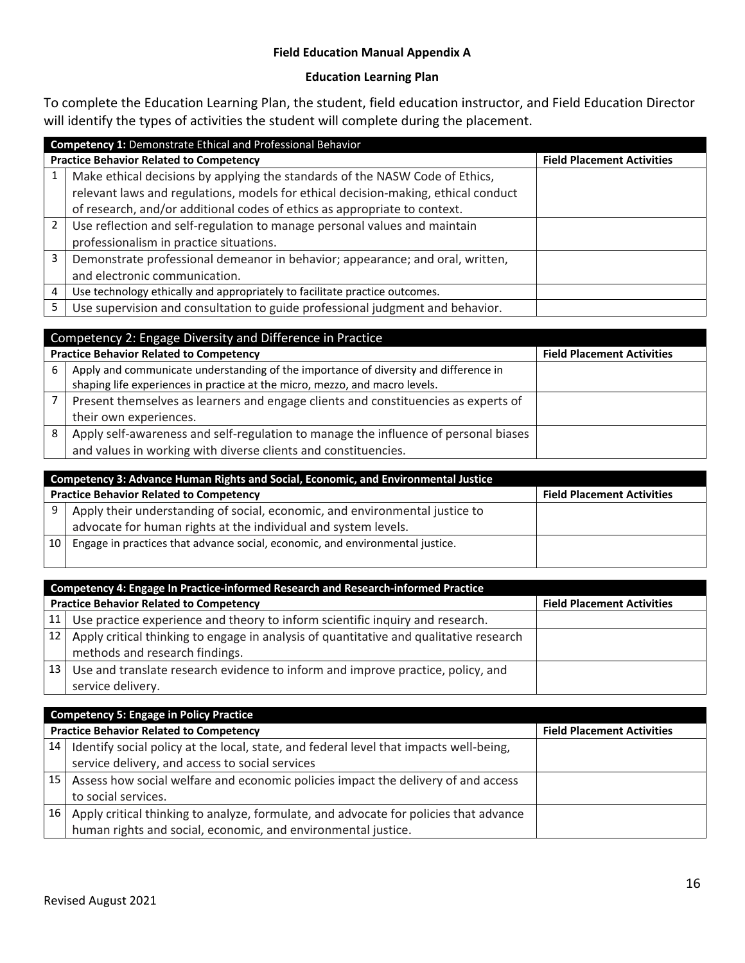#### **Field Education Manual Appendix A**

## **Education Learning Plan**

To complete the Education Learning Plan, the student, field education instructor, and Field Education Director will identify the types of activities the student will complete during the placement.

|   | <b>Competency 1: Demonstrate Ethical and Professional Behavior</b>                 |                                   |  |  |  |  |
|---|------------------------------------------------------------------------------------|-----------------------------------|--|--|--|--|
|   | <b>Practice Behavior Related to Competency</b>                                     | <b>Field Placement Activities</b> |  |  |  |  |
|   | Make ethical decisions by applying the standards of the NASW Code of Ethics,       |                                   |  |  |  |  |
|   | relevant laws and regulations, models for ethical decision-making, ethical conduct |                                   |  |  |  |  |
|   | of research, and/or additional codes of ethics as appropriate to context.          |                                   |  |  |  |  |
| 2 | Use reflection and self-regulation to manage personal values and maintain          |                                   |  |  |  |  |
|   | professionalism in practice situations.                                            |                                   |  |  |  |  |
| 3 | Demonstrate professional demeanor in behavior; appearance; and oral, written,      |                                   |  |  |  |  |
|   | and electronic communication.                                                      |                                   |  |  |  |  |
| 4 | Use technology ethically and appropriately to facilitate practice outcomes.        |                                   |  |  |  |  |
| 5 | Use supervision and consultation to guide professional judgment and behavior.      |                                   |  |  |  |  |

|   | Competency 2: Engage Diversity and Difference in Practice                            |                                   |  |  |  |  |
|---|--------------------------------------------------------------------------------------|-----------------------------------|--|--|--|--|
|   | <b>Practice Behavior Related to Competency</b>                                       | <b>Field Placement Activities</b> |  |  |  |  |
| 6 | Apply and communicate understanding of the importance of diversity and difference in |                                   |  |  |  |  |
|   | shaping life experiences in practice at the micro, mezzo, and macro levels.          |                                   |  |  |  |  |
|   | Present themselves as learners and engage clients and constituencies as experts of   |                                   |  |  |  |  |
|   | their own experiences.                                                               |                                   |  |  |  |  |
| 8 | Apply self-awareness and self-regulation to manage the influence of personal biases  |                                   |  |  |  |  |
|   | and values in working with diverse clients and constituencies.                       |                                   |  |  |  |  |

|      | Competency 3: Advance Human Rights and Social, Economic, and Environmental Justice                                                            |                                   |  |  |  |  |
|------|-----------------------------------------------------------------------------------------------------------------------------------------------|-----------------------------------|--|--|--|--|
|      | <b>Practice Behavior Related to Competency</b>                                                                                                | <b>Field Placement Activities</b> |  |  |  |  |
|      | Apply their understanding of social, economic, and environmental justice to<br>advocate for human rights at the individual and system levels. |                                   |  |  |  |  |
| . 10 | Engage in practices that advance social, economic, and environmental justice.                                                                 |                                   |  |  |  |  |

|                 | Competency 4: Engage In Practice-informed Research and Research-informed Practice      |                                   |  |  |  |  |
|-----------------|----------------------------------------------------------------------------------------|-----------------------------------|--|--|--|--|
|                 | <b>Practice Behavior Related to Competency</b>                                         | <b>Field Placement Activities</b> |  |  |  |  |
|                 | 11   Use practice experience and theory to inform scientific inquiry and research.     |                                   |  |  |  |  |
| 12 <sub>1</sub> | Apply critical thinking to engage in analysis of quantitative and qualitative research |                                   |  |  |  |  |
|                 | methods and research findings.                                                         |                                   |  |  |  |  |
| 13              | Use and translate research evidence to inform and improve practice, policy, and        |                                   |  |  |  |  |
|                 | service delivery.                                                                      |                                   |  |  |  |  |

|                 | <b>Competency 5: Engage in Policy Practice</b>                                          |                                   |  |  |  |  |  |
|-----------------|-----------------------------------------------------------------------------------------|-----------------------------------|--|--|--|--|--|
|                 | <b>Practice Behavior Related to Competency</b>                                          | <b>Field Placement Activities</b> |  |  |  |  |  |
| 14 <sup>1</sup> | I dentify social policy at the local, state, and federal level that impacts well-being, |                                   |  |  |  |  |  |
|                 | service delivery, and access to social services                                         |                                   |  |  |  |  |  |
| 15              | Assess how social welfare and economic policies impact the delivery of and access       |                                   |  |  |  |  |  |
|                 | to social services.                                                                     |                                   |  |  |  |  |  |
| 16              | Apply critical thinking to analyze, formulate, and advocate for policies that advance   |                                   |  |  |  |  |  |
|                 | human rights and social, economic, and environmental justice.                           |                                   |  |  |  |  |  |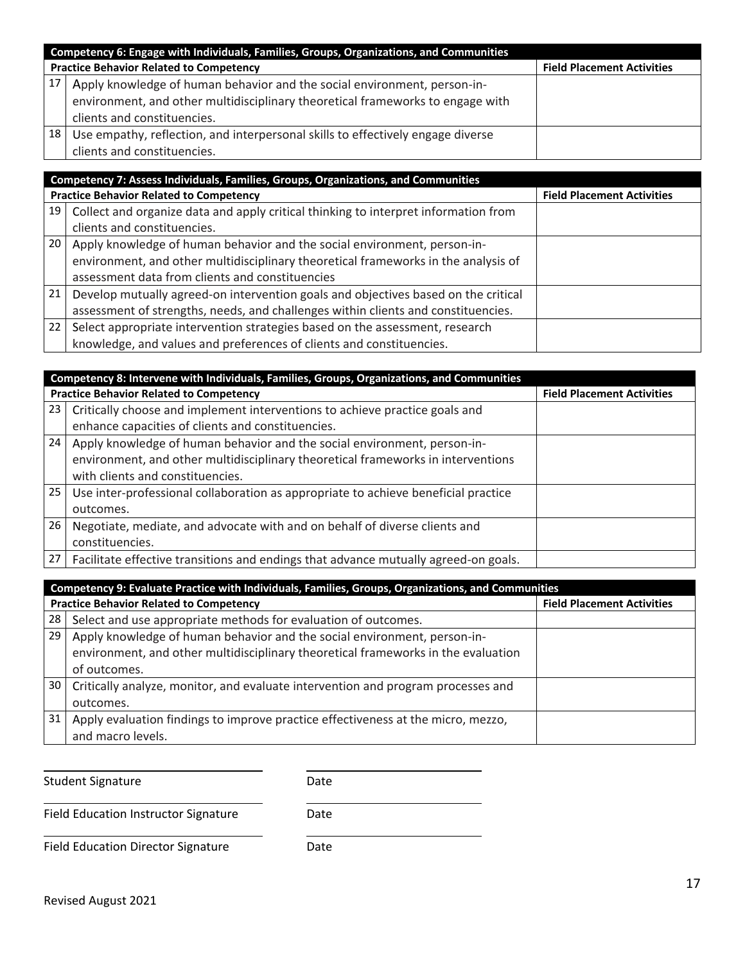|    | Competency 6: Engage with Individuals, Families, Groups, Organizations, and Communities                                                                                                   |  |  |  |  |  |  |
|----|-------------------------------------------------------------------------------------------------------------------------------------------------------------------------------------------|--|--|--|--|--|--|
|    | <b>Practice Behavior Related to Competency</b><br><b>Field Placement Activities</b>                                                                                                       |  |  |  |  |  |  |
|    | Apply knowledge of human behavior and the social environment, person-in-<br>environment, and other multidisciplinary theoretical frameworks to engage with<br>clients and constituencies. |  |  |  |  |  |  |
| 18 | Use empathy, reflection, and interpersonal skills to effectively engage diverse<br>clients and constituencies.                                                                            |  |  |  |  |  |  |

|    | Competency 7: Assess Individuals, Families, Groups, Organizations, and Communities  |                                   |  |  |  |  |
|----|-------------------------------------------------------------------------------------|-----------------------------------|--|--|--|--|
|    | <b>Practice Behavior Related to Competency</b>                                      | <b>Field Placement Activities</b> |  |  |  |  |
| 19 | Collect and organize data and apply critical thinking to interpret information from |                                   |  |  |  |  |
|    | clients and constituencies.                                                         |                                   |  |  |  |  |
| 20 | Apply knowledge of human behavior and the social environment, person-in-            |                                   |  |  |  |  |
|    | environment, and other multidisciplinary theoretical frameworks in the analysis of  |                                   |  |  |  |  |
|    | assessment data from clients and constituencies                                     |                                   |  |  |  |  |
| 21 | Develop mutually agreed-on intervention goals and objectives based on the critical  |                                   |  |  |  |  |
|    | assessment of strengths, needs, and challenges within clients and constituencies.   |                                   |  |  |  |  |
| 22 | Select appropriate intervention strategies based on the assessment, research        |                                   |  |  |  |  |
|    | knowledge, and values and preferences of clients and constituencies.                |                                   |  |  |  |  |

|                                                                                   | Competency 8: Intervene with Individuals, Families, Groups, Organizations, and Communities |  |  |  |  |  |  |
|-----------------------------------------------------------------------------------|--------------------------------------------------------------------------------------------|--|--|--|--|--|--|
|                                                                                   | <b>Practice Behavior Related to Competency</b><br><b>Field Placement Activities</b>        |  |  |  |  |  |  |
| 23<br>Critically choose and implement interventions to achieve practice goals and |                                                                                            |  |  |  |  |  |  |
|                                                                                   | enhance capacities of clients and constituencies.                                          |  |  |  |  |  |  |
| 24                                                                                | Apply knowledge of human behavior and the social environment, person-in-                   |  |  |  |  |  |  |
|                                                                                   | environment, and other multidisciplinary theoretical frameworks in interventions           |  |  |  |  |  |  |
|                                                                                   | with clients and constituencies.                                                           |  |  |  |  |  |  |
| 25                                                                                | Use inter-professional collaboration as appropriate to achieve beneficial practice         |  |  |  |  |  |  |
|                                                                                   | outcomes.                                                                                  |  |  |  |  |  |  |
| 26                                                                                | Negotiate, mediate, and advocate with and on behalf of diverse clients and                 |  |  |  |  |  |  |
|                                                                                   | constituencies.                                                                            |  |  |  |  |  |  |
| 27 <sup>1</sup>                                                                   | Facilitate effective transitions and endings that advance mutually agreed-on goals.        |  |  |  |  |  |  |

|                                                                                     | Competency 9: Evaluate Practice with Individuals, Families, Groups, Organizations, and Communities |  |  |  |  |  |  |
|-------------------------------------------------------------------------------------|----------------------------------------------------------------------------------------------------|--|--|--|--|--|--|
| <b>Practice Behavior Related to Competency</b><br><b>Field Placement Activities</b> |                                                                                                    |  |  |  |  |  |  |
| 28                                                                                  | Select and use appropriate methods for evaluation of outcomes.                                     |  |  |  |  |  |  |
| 29                                                                                  | Apply knowledge of human behavior and the social environment, person-in-                           |  |  |  |  |  |  |
|                                                                                     | environment, and other multidisciplinary theoretical frameworks in the evaluation                  |  |  |  |  |  |  |
|                                                                                     | of outcomes.                                                                                       |  |  |  |  |  |  |
| 30                                                                                  | Critically analyze, monitor, and evaluate intervention and program processes and                   |  |  |  |  |  |  |
|                                                                                     | outcomes.                                                                                          |  |  |  |  |  |  |
| 31                                                                                  | Apply evaluation findings to improve practice effectiveness at the micro, mezzo,                   |  |  |  |  |  |  |
|                                                                                     | and macro levels.                                                                                  |  |  |  |  |  |  |

Student Signature Date

Field Education Instructor Signature **Date** 

Field Education Director Signature Date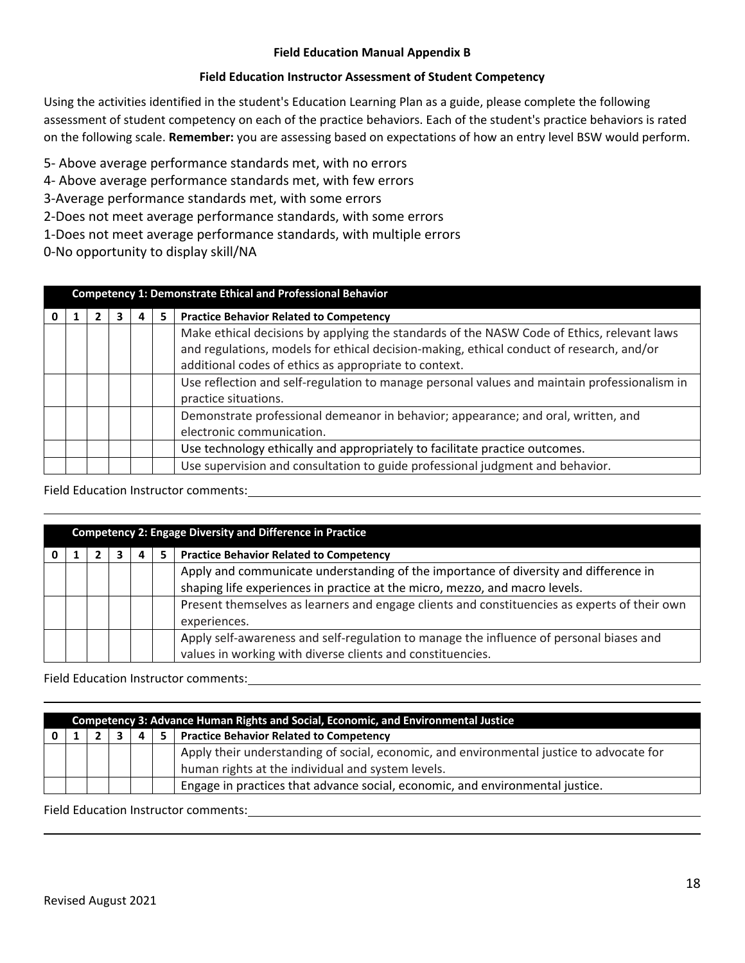#### **Field Education Manual Appendix B**

#### **Field Education Instructor Assessment of Student Competency**

Using the activities identified in the student's Education Learning Plan as a guide, please complete the following assessment of student competency on each of the practice behaviors. Each of the student's practice behaviors is rated on the following scale. **Remember:** you are assessing based on expectations of how an entry level BSW would perform.

5- Above average performance standards met, with no errors

4- Above average performance standards met, with few errors

3-Average performance standards met, with some errors

2-Does not meet average performance standards, with some errors

1-Does not meet average performance standards, with multiple errors

0-No opportunity to display skill/NA

| <b>Competency 1: Demonstrate Ethical and Professional Behavior</b> |  |  |  |  |                                                                                              |
|--------------------------------------------------------------------|--|--|--|--|----------------------------------------------------------------------------------------------|
|                                                                    |  |  |  |  | <b>Practice Behavior Related to Competency</b>                                               |
|                                                                    |  |  |  |  | Make ethical decisions by applying the standards of the NASW Code of Ethics, relevant laws   |
|                                                                    |  |  |  |  | and regulations, models for ethical decision-making, ethical conduct of research, and/or     |
|                                                                    |  |  |  |  | additional codes of ethics as appropriate to context.                                        |
|                                                                    |  |  |  |  | Use reflection and self-regulation to manage personal values and maintain professionalism in |
|                                                                    |  |  |  |  | practice situations.                                                                         |
|                                                                    |  |  |  |  | Demonstrate professional demeanor in behavior; appearance; and oral, written, and            |
|                                                                    |  |  |  |  | electronic communication.                                                                    |
|                                                                    |  |  |  |  | Use technology ethically and appropriately to facilitate practice outcomes.                  |
|                                                                    |  |  |  |  | Use supervision and consultation to guide professional judgment and behavior.                |

#### Field Education Instructor comments:

| <b>Competency 2: Engage Diversity and Difference in Practice</b> |  |  |  |  |                                                                                                                                                                     |
|------------------------------------------------------------------|--|--|--|--|---------------------------------------------------------------------------------------------------------------------------------------------------------------------|
|                                                                  |  |  |  |  | <b>Practice Behavior Related to Competency</b>                                                                                                                      |
|                                                                  |  |  |  |  | Apply and communicate understanding of the importance of diversity and difference in<br>shaping life experiences in practice at the micro, mezzo, and macro levels. |
|                                                                  |  |  |  |  | Present themselves as learners and engage clients and constituencies as experts of their own<br>experiences.                                                        |
|                                                                  |  |  |  |  | Apply self-awareness and self-regulation to manage the influence of personal biases and<br>values in working with diverse clients and constituencies.               |

#### Field Education Instructor comments:

| Competency 3: Advance Human Rights and Social, Economic, and Environmental Justice |  |  |  |  |                                                                                          |  |  |  |
|------------------------------------------------------------------------------------|--|--|--|--|------------------------------------------------------------------------------------------|--|--|--|
|                                                                                    |  |  |  |  | 5   Practice Behavior Related to Competency                                              |  |  |  |
|                                                                                    |  |  |  |  | Apply their understanding of social, economic, and environmental justice to advocate for |  |  |  |
|                                                                                    |  |  |  |  | human rights at the individual and system levels.                                        |  |  |  |
|                                                                                    |  |  |  |  | Engage in practices that advance social, economic, and environmental justice.            |  |  |  |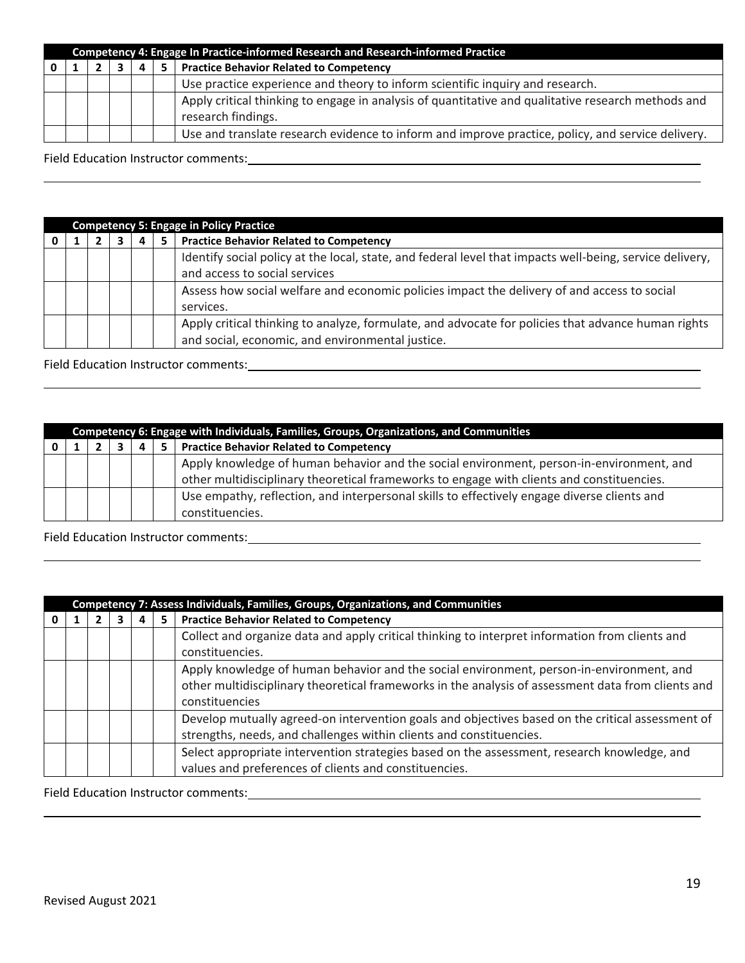| Competency 4: Engage In Practice-informed Research and Research-informed Practice |  |  |  |  |                                                                                                    |  |  |  |  |
|-----------------------------------------------------------------------------------|--|--|--|--|----------------------------------------------------------------------------------------------------|--|--|--|--|
|                                                                                   |  |  |  |  | <b>Practice Behavior Related to Competency</b>                                                     |  |  |  |  |
|                                                                                   |  |  |  |  | Use practice experience and theory to inform scientific inquiry and research.                      |  |  |  |  |
|                                                                                   |  |  |  |  | Apply critical thinking to engage in analysis of quantitative and qualitative research methods and |  |  |  |  |
|                                                                                   |  |  |  |  | research findings.                                                                                 |  |  |  |  |
|                                                                                   |  |  |  |  | Use and translate research evidence to inform and improve practice, policy, and service delivery.  |  |  |  |  |

## Field Education Instructor comments:

| <b>Competency 5: Engage in Policy Practice</b> |  |  |   |   |                                                                                                          |  |  |  |  |
|------------------------------------------------|--|--|---|---|----------------------------------------------------------------------------------------------------------|--|--|--|--|
|                                                |  |  | 4 | 5 | <b>Practice Behavior Related to Competency</b>                                                           |  |  |  |  |
|                                                |  |  |   |   | Identify social policy at the local, state, and federal level that impacts well-being, service delivery, |  |  |  |  |
|                                                |  |  |   |   | and access to social services                                                                            |  |  |  |  |
|                                                |  |  |   |   | Assess how social welfare and economic policies impact the delivery of and access to social              |  |  |  |  |
|                                                |  |  |   |   | services.                                                                                                |  |  |  |  |
|                                                |  |  |   |   | Apply critical thinking to analyze, formulate, and advocate for policies that advance human rights       |  |  |  |  |
|                                                |  |  |   |   | and social, economic, and environmental justice.                                                         |  |  |  |  |

## Field Education Instructor comments:

| Competency 6: Engage with Individuals, Families, Groups, Organizations, and Communities |  |  |  |   |                                                                                             |  |  |  |
|-----------------------------------------------------------------------------------------|--|--|--|---|---------------------------------------------------------------------------------------------|--|--|--|
|                                                                                         |  |  |  | 5 | <b>Practice Behavior Related to Competency</b>                                              |  |  |  |
|                                                                                         |  |  |  |   | Apply knowledge of human behavior and the social environment, person-in-environment, and    |  |  |  |
|                                                                                         |  |  |  |   | other multidisciplinary theoretical frameworks to engage with clients and constituencies.   |  |  |  |
|                                                                                         |  |  |  |   | Use empathy, reflection, and interpersonal skills to effectively engage diverse clients and |  |  |  |
|                                                                                         |  |  |  |   | constituencies.                                                                             |  |  |  |

Field Education Instructor comments:

| Competency 7: Assess Individuals, Families, Groups, Organizations, and Communities |  |  |  |   |                                                                                                                                                                                                                  |  |  |
|------------------------------------------------------------------------------------|--|--|--|---|------------------------------------------------------------------------------------------------------------------------------------------------------------------------------------------------------------------|--|--|
|                                                                                    |  |  |  | 5 | <b>Practice Behavior Related to Competency</b>                                                                                                                                                                   |  |  |
|                                                                                    |  |  |  |   | Collect and organize data and apply critical thinking to interpret information from clients and<br>constituencies.                                                                                               |  |  |
|                                                                                    |  |  |  |   | Apply knowledge of human behavior and the social environment, person-in-environment, and<br>other multidisciplinary theoretical frameworks in the analysis of assessment data from clients and<br>constituencies |  |  |
|                                                                                    |  |  |  |   | Develop mutually agreed-on intervention goals and objectives based on the critical assessment of<br>strengths, needs, and challenges within clients and constituencies.                                          |  |  |
|                                                                                    |  |  |  |   | Select appropriate intervention strategies based on the assessment, research knowledge, and<br>values and preferences of clients and constituencies.                                                             |  |  |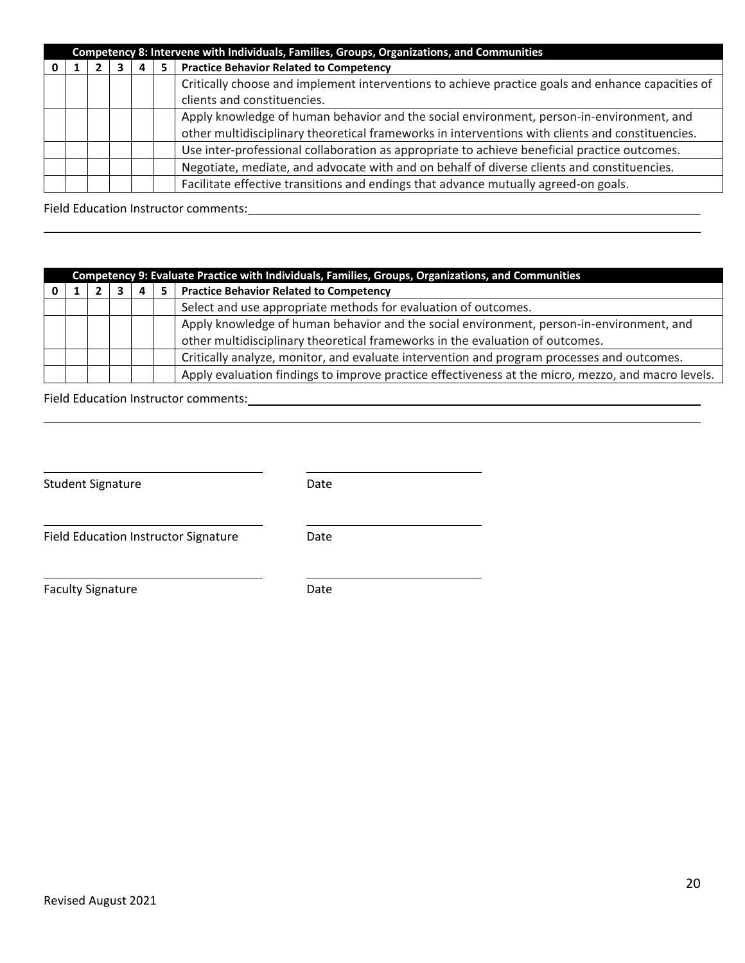| Competency 8: Intervene with Individuals, Families, Groups, Organizations, and Communities |  |  |  |   |                                                                                                   |  |  |
|--------------------------------------------------------------------------------------------|--|--|--|---|---------------------------------------------------------------------------------------------------|--|--|
|                                                                                            |  |  |  | 5 | <b>Practice Behavior Related to Competency</b>                                                    |  |  |
|                                                                                            |  |  |  |   | Critically choose and implement interventions to achieve practice goals and enhance capacities of |  |  |
|                                                                                            |  |  |  |   | clients and constituencies.                                                                       |  |  |
|                                                                                            |  |  |  |   | Apply knowledge of human behavior and the social environment, person-in-environment, and          |  |  |
|                                                                                            |  |  |  |   | other multidisciplinary theoretical frameworks in interventions with clients and constituencies.  |  |  |
|                                                                                            |  |  |  |   | Use inter-professional collaboration as appropriate to achieve beneficial practice outcomes.      |  |  |
|                                                                                            |  |  |  |   | Negotiate, mediate, and advocate with and on behalf of diverse clients and constituencies.        |  |  |
|                                                                                            |  |  |  |   | Facilitate effective transitions and endings that advance mutually agreed-on goals.               |  |  |

#### Field Education Instructor comments:

| Competency 9: Evaluate Practice with Individuals, Families, Groups, Organizations, and Communities |  |  |  |    |                                                                                                                                                                           |  |  |
|----------------------------------------------------------------------------------------------------|--|--|--|----|---------------------------------------------------------------------------------------------------------------------------------------------------------------------------|--|--|
|                                                                                                    |  |  |  | 5. | <b>Practice Behavior Related to Competency</b>                                                                                                                            |  |  |
|                                                                                                    |  |  |  |    | Select and use appropriate methods for evaluation of outcomes.                                                                                                            |  |  |
|                                                                                                    |  |  |  |    | Apply knowledge of human behavior and the social environment, person-in-environment, and<br>other multidisciplinary theoretical frameworks in the evaluation of outcomes. |  |  |
|                                                                                                    |  |  |  |    | Critically analyze, monitor, and evaluate intervention and program processes and outcomes.                                                                                |  |  |
|                                                                                                    |  |  |  |    | Apply evaluation findings to improve practice effectiveness at the micro, mezzo, and macro levels.                                                                        |  |  |

| <b>Student Signature</b>             | Date |
|--------------------------------------|------|
| Field Education Instructor Signature | Date |
| <b>Faculty Signature</b>             | Date |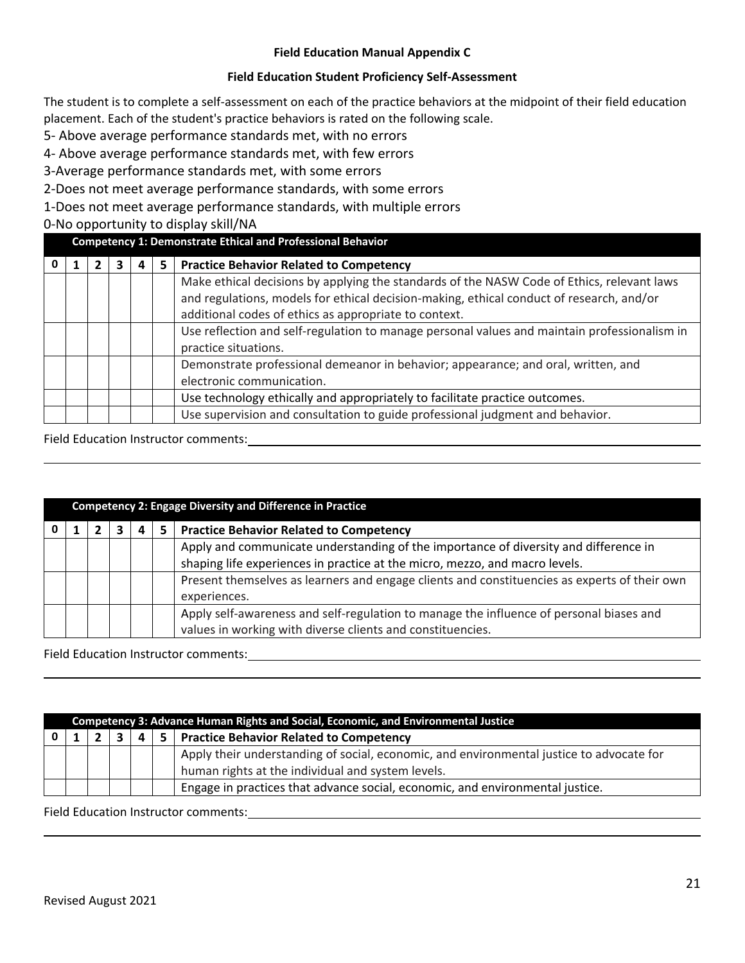#### **Field Education Manual Appendix C**

#### **Field Education Student Proficiency Self-Assessment**

The student is to complete a self-assessment on each of the practice behaviors at the midpoint of their field education placement. Each of the student's practice behaviors is rated on the following scale.

5- Above average performance standards met, with no errors

4- Above average performance standards met, with few errors

3-Average performance standards met, with some errors

2-Does not meet average performance standards, with some errors

1-Does not meet average performance standards, with multiple errors

#### 0-No opportunity to display skill/NA

| <b>Competency 1: Demonstrate Ethical and Professional Behavior</b> |  |  |  |    |                                                                                                                                                                                                                                                 |  |
|--------------------------------------------------------------------|--|--|--|----|-------------------------------------------------------------------------------------------------------------------------------------------------------------------------------------------------------------------------------------------------|--|
|                                                                    |  |  |  | 5. | <b>Practice Behavior Related to Competency</b>                                                                                                                                                                                                  |  |
|                                                                    |  |  |  |    | Make ethical decisions by applying the standards of the NASW Code of Ethics, relevant laws<br>and regulations, models for ethical decision-making, ethical conduct of research, and/or<br>additional codes of ethics as appropriate to context. |  |
|                                                                    |  |  |  |    | Use reflection and self-regulation to manage personal values and maintain professionalism in<br>practice situations.                                                                                                                            |  |
|                                                                    |  |  |  |    | Demonstrate professional demeanor in behavior; appearance; and oral, written, and<br>electronic communication.                                                                                                                                  |  |
|                                                                    |  |  |  |    | Use technology ethically and appropriately to facilitate practice outcomes.                                                                                                                                                                     |  |
|                                                                    |  |  |  |    | Use supervision and consultation to guide professional judgment and behavior.                                                                                                                                                                   |  |

## Field Education Instructor comments:

| <b>Competency 2: Engage Diversity and Difference in Practice</b> |  |  |   |  |                                                                                              |  |  |  |
|------------------------------------------------------------------|--|--|---|--|----------------------------------------------------------------------------------------------|--|--|--|
|                                                                  |  |  | 4 |  | <b>Practice Behavior Related to Competency</b>                                               |  |  |  |
|                                                                  |  |  |   |  | Apply and communicate understanding of the importance of diversity and difference in         |  |  |  |
|                                                                  |  |  |   |  | shaping life experiences in practice at the micro, mezzo, and macro levels.                  |  |  |  |
|                                                                  |  |  |   |  | Present themselves as learners and engage clients and constituencies as experts of their own |  |  |  |
|                                                                  |  |  |   |  | experiences.                                                                                 |  |  |  |
|                                                                  |  |  |   |  | Apply self-awareness and self-regulation to manage the influence of personal biases and      |  |  |  |
|                                                                  |  |  |   |  | values in working with diverse clients and constituencies.                                   |  |  |  |

#### Field Education Instructor comments:

| Competency 3: Advance Human Rights and Social, Economic, and Environmental Justice |  |  |  |  |                                                                                                                                               |  |  |
|------------------------------------------------------------------------------------|--|--|--|--|-----------------------------------------------------------------------------------------------------------------------------------------------|--|--|
|                                                                                    |  |  |  |  | 5   Practice Behavior Related to Competency                                                                                                   |  |  |
|                                                                                    |  |  |  |  | Apply their understanding of social, economic, and environmental justice to advocate for<br>human rights at the individual and system levels. |  |  |
|                                                                                    |  |  |  |  | Engage in practices that advance social, economic, and environmental justice.                                                                 |  |  |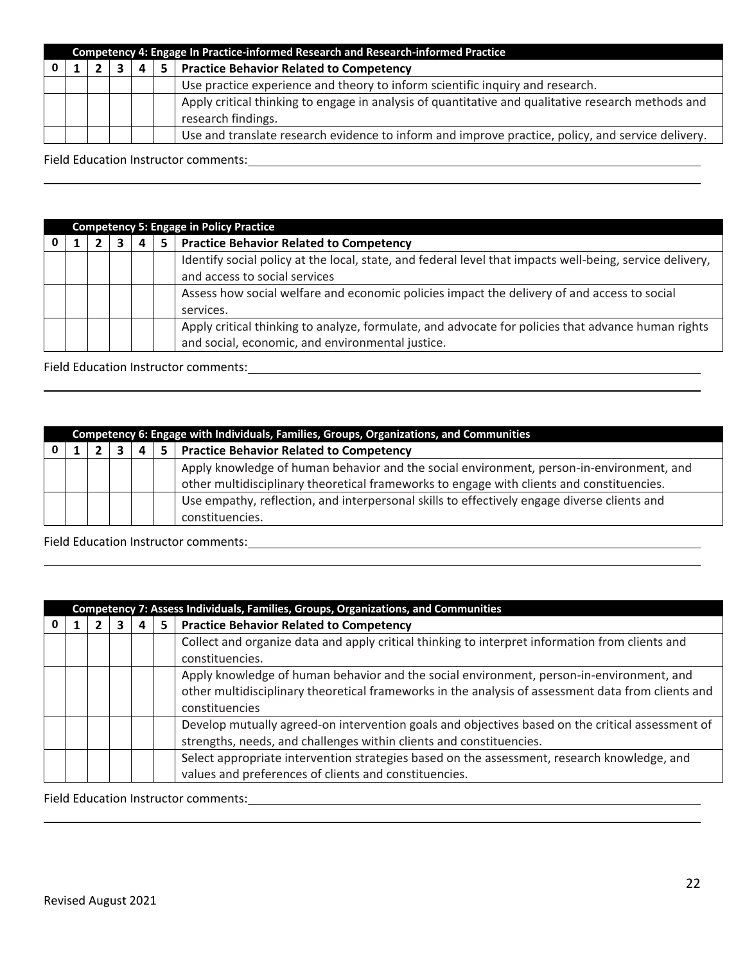| Competency 4: Engage In Practice-informed Research and Research-informed Practice |  |  |   |    |                                                                                                    |  |  |  |
|-----------------------------------------------------------------------------------|--|--|---|----|----------------------------------------------------------------------------------------------------|--|--|--|
|                                                                                   |  |  | 4 | 5. | <b>Practice Behavior Related to Competency</b>                                                     |  |  |  |
|                                                                                   |  |  |   |    | Use practice experience and theory to inform scientific inquiry and research.                      |  |  |  |
|                                                                                   |  |  |   |    | Apply critical thinking to engage in analysis of quantitative and qualitative research methods and |  |  |  |
|                                                                                   |  |  |   |    | research findings.                                                                                 |  |  |  |
|                                                                                   |  |  |   |    | Use and translate research evidence to inform and improve practice, policy, and service delivery.  |  |  |  |

Field Education Instructor comments: **Example 2018** 2019 12:00:00 12:00:00 12:00:00 12:00:00 12:00:00 12:00:00 12:00:00 12:00:00 12:00:00 12:00:00 12:00:00 12:00:00 12:00:00 12:00:00 12:00:00 12:00:00 12:00:00 12:00:00 12:

| <b>Competency 5: Engage in Policy Practice</b> |  |  |   |    |                                                                                                          |
|------------------------------------------------|--|--|---|----|----------------------------------------------------------------------------------------------------------|
|                                                |  |  | 4 | 5. | <b>Practice Behavior Related to Competency</b>                                                           |
|                                                |  |  |   |    | Identify social policy at the local, state, and federal level that impacts well-being, service delivery, |
|                                                |  |  |   |    | and access to social services                                                                            |
|                                                |  |  |   |    | Assess how social welfare and economic policies impact the delivery of and access to social              |
|                                                |  |  |   |    | services.                                                                                                |
|                                                |  |  |   |    | Apply critical thinking to analyze, formulate, and advocate for policies that advance human rights       |
|                                                |  |  |   |    | and social, economic, and environmental justice.                                                         |

Field Education Instructor comments: Manual According to the United States of the United States of the United States of the United States of the United States of the United States of the United States of the United States

| Competency 6: Engage with Individuals, Families, Groups, Organizations, and Communities |  |  |  |  |                                                                                                                                                                                       |  |
|-----------------------------------------------------------------------------------------|--|--|--|--|---------------------------------------------------------------------------------------------------------------------------------------------------------------------------------------|--|
|                                                                                         |  |  |  |  | <b>Practice Behavior Related to Competency</b>                                                                                                                                        |  |
|                                                                                         |  |  |  |  | Apply knowledge of human behavior and the social environment, person-in-environment, and<br>other multidisciplinary theoretical frameworks to engage with clients and constituencies. |  |
|                                                                                         |  |  |  |  | Use empathy, reflection, and interpersonal skills to effectively engage diverse clients and<br>constituencies.                                                                        |  |

Field Education Instructor comments: **with a set of the control of the control of the control of the control of the control of the control of the control of the control of the control of the control of the control of the c** 

| Competency 7: Assess Individuals, Families, Groups, Organizations, and Communities |                                                      |  |  |                                                                                                                                                                                                                  |
|------------------------------------------------------------------------------------|------------------------------------------------------|--|--|------------------------------------------------------------------------------------------------------------------------------------------------------------------------------------------------------------------|
|                                                                                    | <b>Practice Behavior Related to Competency</b><br>5. |  |  |                                                                                                                                                                                                                  |
|                                                                                    |                                                      |  |  | Collect and organize data and apply critical thinking to interpret information from clients and<br>constituencies.                                                                                               |
|                                                                                    |                                                      |  |  | Apply knowledge of human behavior and the social environment, person-in-environment, and<br>other multidisciplinary theoretical frameworks in the analysis of assessment data from clients and<br>constituencies |
|                                                                                    |                                                      |  |  | Develop mutually agreed-on intervention goals and objectives based on the critical assessment of<br>strengths, needs, and challenges within clients and constituencies.                                          |
|                                                                                    |                                                      |  |  | Select appropriate intervention strategies based on the assessment, research knowledge, and<br>values and preferences of clients and constituencies.                                                             |